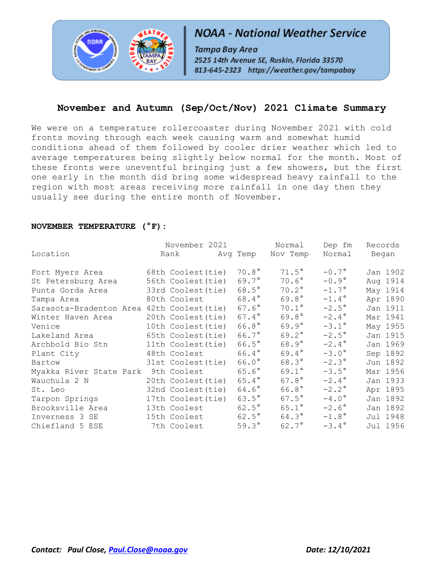

# **NOAA - National Weather Service**

Tampa Bay Area 2525 14th Avenue SE, Ruskin, Florida 33570 813-645-2323 https://weather.gov/tampabay

# **November and Autumn (Sep/Oct/Nov) 2021 Climate Summary**

We were on a temperature rollercoaster during November 2021 with cold fronts moving through each week causing warm and somewhat humid conditions ahead of them followed by cooler drier weather which led to average temperatures being slightly below normal for the month. Most of these fronts were uneventful bringing just a few showers, but the first one early in the month did bring some widespread heavy rainfall to the region with most areas receiving more rainfall in one day then they usually see during the entire month of November.

#### **NOVEMBER TEMPERATURE (°F):**

|                                            | November 2021 Normal    |                |                | Dep fm         | Records  |
|--------------------------------------------|-------------------------|----------------|----------------|----------------|----------|
| Location                                   | Rank Mavg Temp Nov Temp |                |                | Normal         | Began    |
| Fort Myers Area                            | 68th Coolest(tie)       | $70.8^\circ$   | $71.5^\circ$   | $-0.7^\circ$   | Jan 1902 |
| St Petersburg Area                         | 56th Coolest(tie)       | 69.7°          | $70.6^\circ$   | $-0.9^{\circ}$ | Aug 1914 |
| Punta Gorda Area                           | 33rd Coolest (tie)      | $68.5^{\circ}$ | $70.2^\circ$   | $-1.7^{\circ}$ | May 1914 |
| Tampa Area                                 | 80th Coolest            | 68.4°          | $69.8^\circ$   | $-1.4^{\circ}$ | Apr 1890 |
| Sarasota-Bradenton Area 42th Coolest (tie) |                         | $67.6^\circ$   | $70.1^\circ$   | $-2.5^\circ$   | Jan 1911 |
| Winter Haven Area                          | 20th Coolest (tie)      | $67.4^{\circ}$ | $69.8^\circ$   | $-2.4^{\circ}$ | Mar 1941 |
| Venice                                     | 10th Coolest (tie)      | $66.8^\circ$   | $69.9^\circ$   | $-3.1^{\circ}$ | May 1955 |
| Lakeland Area                              | 65th Coolest(tie)       | $66.7^{\circ}$ | $69.2^{\circ}$ | $-2.5^{\circ}$ | Jan 1915 |
| Archbold Bio Stn                           | 11th Coolest(tie)       | $66.5^{\circ}$ | $68.9^\circ$   | $-2.4^\circ$   | Jan 1969 |
| Plant City                                 | 48th Coolest            | $66.4^{\circ}$ | $69.4^{\circ}$ | $-3.0^\circ$   | Sep 1892 |
| Bartow                                     | 31st Coolest(tie)       | $66.0^\circ$   | $68.3^\circ$   | $-2.3^{\circ}$ | Jun 1892 |
| Myakka River State Park 9th Coolest        |                         | $65.6^\circ$   | $69.1^{\circ}$ | $-3.5^{\circ}$ | Mar 1956 |
| Wauchula 2 N                               | 20th Coolest (tie)      | $65.4^{\circ}$ | $67.8^\circ$   | $-2.4^{\circ}$ | Jan 1933 |
| St. Leo                                    | 32nd Coolest (tie)      | $64.6^\circ$   | $66.8^\circ$   | $-2.2^{\circ}$ | Apr 1895 |
| Tarpon Springs                             | 17th Coolest(tie)       | $63.5^{\circ}$ | $67.5^\circ$   | $-4.0^\circ$   | Jan 1892 |
| Brooksville Area                           | 13th Coolest            | $62.5^\circ$   | $65.1^{\circ}$ | $-2.6^{\circ}$ | Jan 1892 |
| Inverness 3 SE                             | 15th Coolest            | $62.5^\circ$   | $64.3^\circ$   | $-1.8^{\circ}$ | Jul 1948 |
| Chiefland 5 ESE                            | 7th Coolest             | $59.3^\circ$   | $62.7^{\circ}$ | $-3.4^{\circ}$ | Jul 1956 |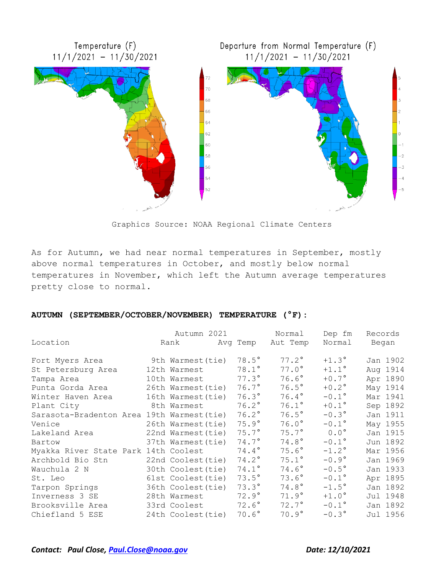

Graphics Source: NOAA Regional Climate Centers

As for Autumn, we had near normal temperatures in September, mostly above normal temperatures in October, and mostly below normal temperatures in November, which left the Autumn average temperatures pretty close to normal.

#### **AUTUMN (SEPTEMBER/OCTOBER/NOVEMBER) TEMPERATURE (°F):**

|                                            | Autumn 2021             |                | Normal       | Dep fm         | Records  |
|--------------------------------------------|-------------------------|----------------|--------------|----------------|----------|
| Location                                   | Rank Mayq Temp Aut Temp |                |              | Normal         | Began    |
| Fort Myers Area                            | 9th Warmest (tie)       | $78.5^\circ$   | $77.2^\circ$ | $+1.3^\circ$   | Jan 1902 |
| St Petersburg Area                         | 12th Warmest            | $78.1^\circ$   | $77.0^\circ$ | $+1.1^{\circ}$ | Aug 1914 |
| Tampa Area                                 | 10th Warmest            | $77.3^\circ$   | $76.6^\circ$ | $+0.7^\circ$   | Apr 1890 |
| Punta Gorda Area                           | 26th Warmest (tie)      | $76.7^\circ$   | $76.5^\circ$ | $+0.2^{\circ}$ | May 1914 |
| Winter Haven Area                          | 16th Warmest (tie)      | $76.3^\circ$   | $76.4^\circ$ | $-0.1^{\circ}$ | Mar 1941 |
| Plant City                                 | 8th Warmest             | $76.2^\circ$   | $76.1^\circ$ | $+0.1^{\circ}$ | Sep 1892 |
| Sarasota-Bradenton Area 19th Warmest (tie) |                         | $76.2^\circ$   | $76.5^\circ$ | $-0.3^{\circ}$ | Jan 1911 |
| Venice                                     | 26th Warmest (tie)      | $75.9^\circ$   | $76.0^\circ$ | $-0.1^\circ$   | May 1955 |
| Lakeland Area                              | 22nd Warmest (tie)      | $75.7^\circ$   | $75.7^\circ$ | $0.0^{\circ}$  | Jan 1915 |
| Bartow                                     | 37th Warmest(tie)       | $74.7^\circ$   | $74.8^\circ$ | $-0.1^{\circ}$ | Jun 1892 |
| Myakka River State Park 14th Coolest       |                         | $74.4^{\circ}$ | $75.6^\circ$ | $-1.2$ °       | Mar 1956 |
| Archbold Bio Stn                           | 22nd Coolest (tie)      | $74.2^\circ$   | $75.1^\circ$ | $-0.9^{\circ}$ | Jan 1969 |
| Wauchula 2 N                               | 30th Coolest (tie)      | $74.1^{\circ}$ | $74.6^\circ$ | $-0.5^\circ$   | Jan 1933 |
| St. Leo                                    | 61st Coolest (tie)      | $73.5^\circ$   | $73.6^\circ$ | $-0.1^{\circ}$ | Apr 1895 |
| Tarpon Springs                             | 36th Coolest(tie)       | $73.3^\circ$   | $74.8^\circ$ | $-1.5^{\circ}$ | Jan 1892 |
| Inverness 3 SE                             | 28th Warmest            | $72.9^\circ$   | $71.9^\circ$ | $+1.0^\circ$   | Jul 1948 |
| Brooksville Area                           | 33rd Coolest            | $72.6^\circ$   | $72.7^\circ$ | $-0.1^{\circ}$ | Jan 1892 |
| Chiefland 5 ESE                            | 24th Coolest (tie)      | $70.6^\circ$   | $70.9^\circ$ | $-0.3^{\circ}$ | Jul 1956 |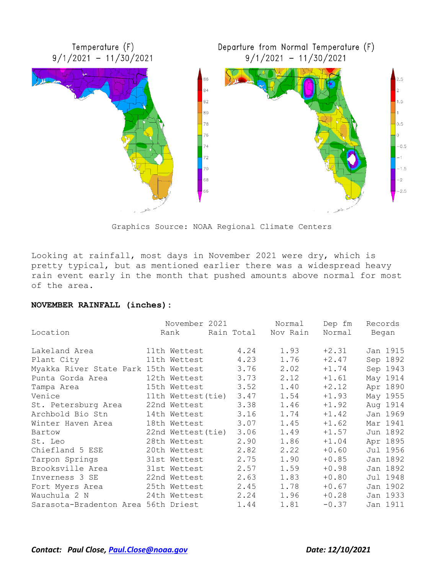

Graphics Source: NOAA Regional Climate Centers

Looking at rainfall, most days in November 2021 were dry, which is pretty typical, but as mentioned earlier there was a widespread heavy rain event early in the month that pushed amounts above normal for most of the area.

#### **NOVEMBER RAINFALL (inches):**

|                                      | November 2021      |      | Normal              | Dep fm  | Records  |
|--------------------------------------|--------------------|------|---------------------|---------|----------|
| Location                             | Rank               |      | Rain Total Nov Rain | Normal  | Began    |
| Lakeland Area                        | 11th Wettest       | 4.24 | 1.93                | $+2.31$ | Jan 1915 |
| Plant City                           | 11th Wettest       | 4.23 | 1.76                | $+2.47$ | Sep 1892 |
| Myakka River State Park 15th Wettest |                    | 3.76 | 2.02                | $+1.74$ | Sep 1943 |
| Punta Gorda Area                     | 12th Wettest       | 3.73 | 2.12                | $+1.61$ | May 1914 |
| Tampa Area                           | 15th Wettest       | 3.52 | 1.40                | $+2.12$ | Apr 1890 |
| Venice                               | 11th Wettest(tie)  | 3.47 | 1.54                | $+1.93$ | May 1955 |
| St. Petersburg Area                  | 22nd Wettest       | 3.38 | 1.46                | $+1.92$ | Aug 1914 |
| Archbold Bio Stn                     | 14th Wettest       | 3.16 | 1.74                | $+1.42$ | Jan 1969 |
| Winter Haven Area                    | 18th Wettest       | 3.07 | 1.45                | $+1.62$ | Mar 1941 |
| Bartow                               | 22nd Wettest (tie) | 3.06 | 1.49                | $+1.57$ | Jun 1892 |
| St. Leo                              | 28th Wettest       | 2.90 | 1.86                | $+1.04$ | Apr 1895 |
| Chiefland 5 ESE                      | 20th Wettest       | 2.82 | 2.22                | $+0.60$ | Jul 1956 |
| Tarpon Springs                       | 31st Wettest       | 2.75 | 1.90                | $+0.85$ | Jan 1892 |
| Brooksville Area                     | 31st Wettest       | 2.57 | 1.59                | $+0.98$ | Jan 1892 |
| Inverness 3 SE                       | 22nd Wettest       | 2.63 | 1.83                | $+0.80$ | Jul 1948 |
| Fort Myers Area                      | 25th Wettest       | 2.45 | 1.78                | $+0.67$ | Jan 1902 |
| Wauchula 2 N                         | 24th Wettest       | 2.24 | 1.96                | $+0.28$ | Jan 1933 |
| Sarasota-Bradenton Area 56th Driest  |                    | 1.44 | 1.81                | $-0.37$ | Jan 1911 |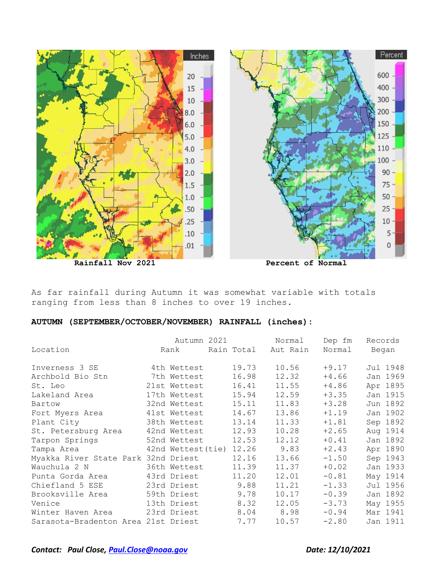

As far rainfall during Autumn it was somewhat variable with totals ranging from less than 8 inches to over 19 inches.

# **AUTUMN (SEPTEMBER/OCTOBER/NOVEMBER) RAINFALL (inches):**

|                                     | Autumn 2021             |       | Normal              | Dep fm  | Records      |
|-------------------------------------|-------------------------|-------|---------------------|---------|--------------|
| Location                            | Rank                    |       | Rain Total Aut Rain |         | Normal Began |
| Inverness 3 SE                      | 4th Wettest             | 19.73 | 10.56               | $+9.17$ | Jul 1948     |
| Archbold Bio Stn                    | 7th Wettest             | 16.98 | 12.32               | $+4.66$ | Jan 1969     |
| St. Leo                             | 21st Wettest            | 16.41 | 11.55               | $+4.86$ | Apr 1895     |
| Lakeland Area                       | 17th Wettest            | 15.94 | 12.59               | $+3.35$ | Jan 1915     |
| Bartow                              | 32nd Wettest            | 15.11 | 11.83               | $+3.28$ | Jun 1892     |
| Fort Myers Area 41st Wettest        |                         | 14.67 | 13.86               | $+1.19$ | Jan 1902     |
| Plant City                          | 38th Wettest            | 13.14 | 11.33               | $+1.81$ | Sep 1892     |
| St. Petersburg Area                 | 42nd Wettest            | 12.93 | 10.28               | $+2.65$ | Aug 1914     |
| Tarpon Springs                      | 52nd Wettest            | 12.53 | 12.12               | $+0.41$ | Jan 1892     |
| Tampa Area                          | 42nd Wettest(tie) 12.26 |       | 9.83                | $+2.43$ | Apr 1890     |
| Myakka River State Park 32nd Driest |                         | 12.16 | 13.66               | $-1.50$ | Sep 1943     |
| Wauchula 2 N                        | 36th Wettest            | 11.39 | 11.37               | $+0.02$ | Jan 1933     |
| Punta Gorda Area                    | 43rd Driest             | 11.20 | 12.01               | $-0.81$ | May 1914     |
| Chiefland 5 ESE                     | 23rd Driest             | 9.88  | 11.21               | $-1.33$ | Jul 1956     |
| Brooksville Area                    | 59th Driest             | 9.78  | 10.17               | $-0.39$ | Jan 1892     |
| Venice                              | 13th Driest             | 8.32  | 12.05               | $-3.73$ | May 1955     |
| Winter Haven Area                   | 23rd Driest             | 8.04  | 8.98                | $-0.94$ | Mar 1941     |
| Sarasota-Bradenton Area 21st Driest |                         | 7.77  | 10.57               | $-2.80$ | Jan 1911     |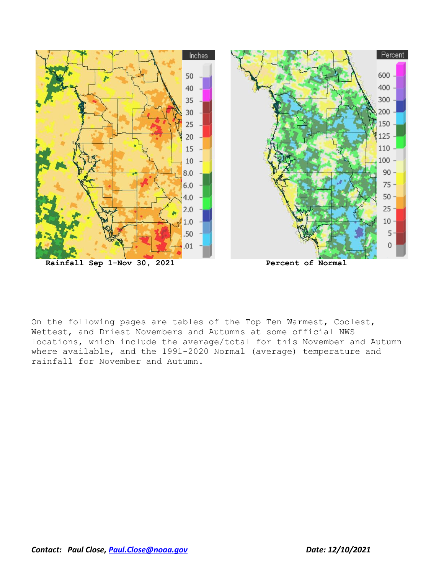

On the following pages are tables of the Top Ten Warmest, Coolest, Wettest, and Driest Novembers and Autumns at some official NWS locations, which include the average/total for this November and Autumn where available, and the 1991-2020 Normal (average) temperature and rainfall for November and Autumn.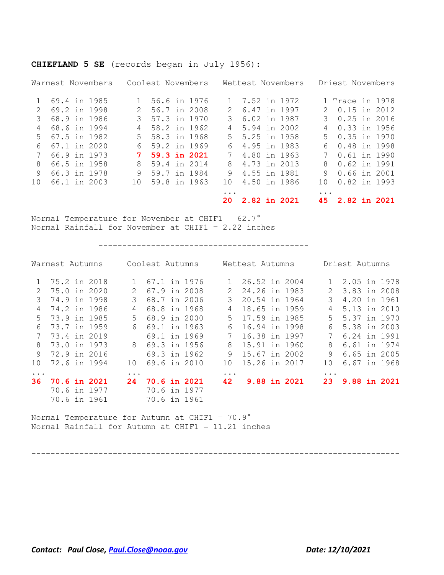|               |  | Warmest Novembers |               | Coolest Novembers |  |             |                | Wettest Novembers |               | Driest Novembers |  |
|---------------|--|-------------------|---------------|-------------------|--|-------------|----------------|-------------------|---------------|------------------|--|
|               |  | 69.4 in 1985      |               | 56.6 in 1976      |  |             | 1 7.52 in 1972 |                   |               | 1 Trace in 1978  |  |
| $\mathcal{L}$ |  | 69.2 in 1998      | $\mathcal{L}$ | 56.7 in 2008      |  | $2^{\circ}$ | 6.47 in 1997   |                   | $\mathcal{P}$ | 0.15 in 2012     |  |
|               |  | 68.9 in 1986      |               | 57.3 in 1970      |  | 3           | 6.02 in 1987   |                   |               | 0.25 in 2016     |  |
| 4             |  | 68.6 in 1994      | 4             | 58.2 in 1962      |  | 4           | 5.94 in 2002   |                   | 4             | 0.33 in 1956     |  |
| .5            |  | 67.5 in 1982      | $5 -$         | 58.3 in 1968      |  | 5           | 5.25 in 1958   |                   | $5 -$         | 0.35 in 1970     |  |
| 6             |  | 67.1 in 2020      | 6             | 59.2 in 1969      |  | 6           | 4.95 in 1983   |                   | 6             | 0.48 in 1998     |  |
| 7             |  | 66.9 in 1973      |               | 59.3 in 2021      |  | 7           | 4.80 in 1963   |                   |               | 0.61 in 1990     |  |
| 8             |  | 66.5 in 1958      | 8             | 59.4 in 2014      |  | 8           | 4.73 in 2013   |                   | 8             | 0.62 in 1991     |  |
| 9             |  | 66.3 in 1978      | 9             | 59.7 in 1984      |  | 9           | 4.55 in 1981   |                   | 9             | 0.66 in 2001     |  |
| 10            |  | 66.1 in 2003      | 10            | 59.8 in 1963      |  | 1 O         | 4.50 in 1986   |                   | 10            | 0.82 in 1993     |  |
|               |  |                   |               |                   |  | $\ddotsc$   |                |                   | $\cdots$      |                  |  |
|               |  |                   |               |                   |  | 20.         | 2.82 in 2021   |                   | 45.           | 2.82 in 2021     |  |

### **CHIEFLAND 5 SE** (records began in July 1956):

Normal Temperature for November at CHIF1 = 62.7° Normal Rainfall for November at CHIF1 = 2.22 inches

--------------------------------------------

| Coolest Autumns<br>Warmest Autumns |                     |                           | Wettest Autumns |               |  | Driest Autumns |                |  |  |
|------------------------------------|---------------------|---------------------------|-----------------|---------------|--|----------------|----------------|--|--|
|                                    | 1 75.2 in 2018      | 67.1 in 1976              |                 | 26.52 in 2004 |  |                | 1 2.05 in 1978 |  |  |
| $\mathcal{L}$                      | 75.0 in 2020        | 67.9 in 2008<br>2         | $\mathcal{L}$   | 24.26 in 1983 |  | $\mathcal{L}$  | 3.83 in 2008   |  |  |
| 3                                  | 74.9 in 1998        | 68.7 in 2006<br>3         | 3               | 20.54 in 1964 |  | 3              | 4.20 in 1961   |  |  |
| 4                                  | 74.2 in 1986        | 68.8 in 1968<br>4         | 4               | 18.65 in 1959 |  | 4              | 5.13 in 2010   |  |  |
| 5                                  | 73.9 in 1985        | 68.9 in 2000<br>$5 -$     | 5               | 17.59 in 1985 |  | $5 -$          | 5.37 in 1970   |  |  |
| 6                                  | 73.7 in 1959        | 69.1 in 1963<br>6         | 6               | 16.94 in 1998 |  | 6.             | 5.38 in 2003   |  |  |
|                                    | 73.4 in 2019        | 69.1 in 1969              |                 | 16.38 in 1997 |  | 7              | 6.24 in 1991   |  |  |
| 8                                  | 73.0 in 1973        | 8 69.3 in 1956            | 8               | 15.91 in 1960 |  | 8              | 6.61 in 1974   |  |  |
| 9                                  | 72.9 in 2016        | 69.3 in 1962              | 9               | 15.67 in 2002 |  | 9              | 6.65 in 2005   |  |  |
| 10                                 | 72.6 in 1994        | 69.6 in 2010<br>10        | 10              | 15.26 in 2017 |  | 1 O            | 6.67 in 1968   |  |  |
| $\ddots$ .                         |                     | $\ddotsc$                 | $\ddots$        |               |  | $\ddotsc$      |                |  |  |
| 36.                                | <b>70.6 in 2021</b> | <b>70.6 in 2021</b><br>24 | 42              | 9.88 in 2021  |  | 23             | 9.88 in 2021   |  |  |
|                                    | 70.6 in 1977        | 70.6 in 1977              |                 |               |  |                |                |  |  |
|                                    | 70.6 in 1961        | 70.6 in 1961              |                 |               |  |                |                |  |  |

-----------------------------------------------------------------------------

Normal Temperature for Autumn at CHIF1 =  $70.9^\circ$ Normal Rainfall for Autumn at CHIF1 = 11.21 inches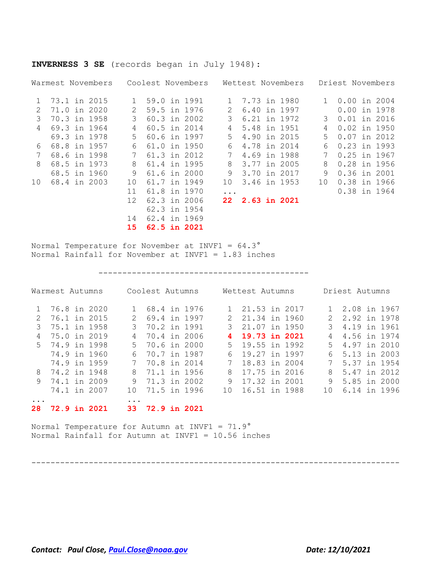| INVERNESS 3 SE (records began in July 1948): |
|----------------------------------------------|
|----------------------------------------------|

|               | Warmest Novembers | Coolest Novembers |                |               | Wettest Novembers   |              | Driest Novembers |
|---------------|-------------------|-------------------|----------------|---------------|---------------------|--------------|------------------|
| 1             | 73.1 in 2015      |                   | 59.0 in 1991   | 1             | 7.73 in 1980        | $\mathbf{1}$ | $0.00$ in 2004   |
| $\mathcal{L}$ | 71.0 in 2020      |                   | 59.5 in 1976   | $\mathcal{L}$ | 6.40 in 1997        |              | $0.00$ in 1978   |
| 3             | 70.3 in 1958      | 3                 | 60.3 in 2002   | 3             | 6.21 in 1972        | 3            | $0.01$ in 2016   |
| 4             | 69.3 in 1964      | 4                 | 60.5 in 2014   | 4             | 5.48 in 1951        | 4            | $0.02$ in 1950   |
|               | 69.3 in 1978      | 5                 | 60.6 in 1997   | 5             | 4.90 in 2015        | 5            | 0.07 in 2012     |
| 6             | 68.8 in 1957      | 6                 | 61.0 in 1950   | 6             | 4.78 in 2014        | 6            | 0.23 in 1993     |
|               | 68.6 in 1998      |                   | 61.3 in 2012   |               | 4.69 in 1988        |              | $0.25$ in 1967   |
| 8             | 68.5 in 1973      | 8                 | 61.4 in 1995   | 8             | 3.77 in 2005        | 8            | 0.28 in 1956     |
|               | 68.5 in 1960      | 9                 | $61.6$ in 2000 | 9             | 3.70 in 2017        | 9            | 0.36 in 2001     |
| 10            | 68.4 in 2003      | 10                | 61.7 in 1949   | 10            | 3.46 in 1953        | 10           | 0.38 in 1966     |
|               |                   | 11                | 61.8 in 1970   | $\ddotsc$     |                     |              | 0.38 in 1964     |
|               |                   | 12 <sup>°</sup>   | 62.3 in 2006   | 22            | <b>2.63 in 2021</b> |              |                  |
|               |                   |                   | 62.3 in 1954   |               |                     |              |                  |
|               |                   | 14                | 62.4 in 1969   |               |                     |              |                  |
|               |                   | 15                | 62.5 in 2021   |               |                     |              |                  |

Normal Temperature for November at INVF1 = 64.3° Normal Rainfall for November at INVF1 = 1.83 inches

--------------------------------------------

|           | Warmest Autumns |  |     | Coolest Autumns     |  |   | Wettest Autumns  |  |       | Driest Autumns |  |
|-----------|-----------------|--|-----|---------------------|--|---|------------------|--|-------|----------------|--|
|           | 76.8 in 2020    |  |     | 68.4 in 1976        |  |   | 21.53 in 2017    |  |       | 2.08 in 1967   |  |
| 2         | 76.1 in 2015    |  | 2.  | 69.4 in 1997        |  |   | 21.34 in 1960    |  |       | 2.92 in 1978   |  |
| 3         | 75.1 in 1958    |  |     | 3 70.2 in 1991      |  |   | 3 21.07 in 1950  |  |       | 3 4.19 in 1961 |  |
| 4         | 75.0 in 2019    |  | 4   | 70.4 in 2006        |  |   | 19.73 in 2021    |  | 4     | 4.56 in 1974   |  |
|           | 5 74.9 in 1998  |  |     | 5 70.6 in 2000      |  |   | 5 19.55 in 1992  |  | $5 -$ | 4.97 in 2010   |  |
|           | 74.9 in 1960    |  | 6   | 70.7 in 1987        |  | 6 | 19.27 in 1997    |  | 6     | 5.13 in 2003   |  |
|           | 74.9 in 1959    |  | 7   | 70.8 in 2014        |  |   | 18.83 in 2004    |  | 7     | 5.37 in 1954   |  |
|           | 8 74.2 in 1948  |  | 8   | 71.1 in 1956        |  | 8 | 17.75 in 2016    |  | 8     | 5.47 in 2012   |  |
| 9         | 74.1 in 2009    |  | 9   | 71.3 in 2002        |  | 9 | 17.32 in 2001    |  | 9     | 5.85 in 2000   |  |
|           | 74.1 in 2007    |  | 1 O | 71.5 in 1996        |  |   | 10 16.51 in 1988 |  | 1 O   | 6.14 in 1996   |  |
| $\ddotsc$ |                 |  | .   |                     |  |   |                  |  |       |                |  |
| 28.       | 72.9 in 2021    |  | 33. | <b>72.9 in 2021</b> |  |   |                  |  |       |                |  |

Normal Temperature for Autumn at INVF1 = 71.9° Normal Rainfall for Autumn at INVF1 = 10.56 inches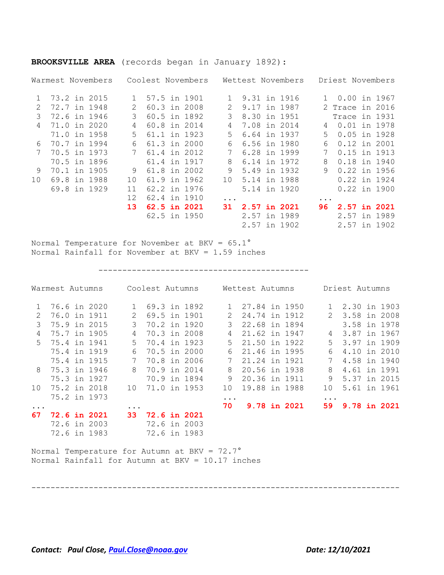|                 |  | Warmest Novembers Coolest Novembers Wettest Novembers Driest Novembers                                         |                       |              |              |          |                |                 |           |                 |  |
|-----------------|--|----------------------------------------------------------------------------------------------------------------|-----------------------|--------------|--------------|----------|----------------|-----------------|-----------|-----------------|--|
|                 |  | 1 73.2 in 2015                                                                                                 | 1                     |              | 57.5 in 1901 |          |                | 1 9.31 in 1916  |           | 1 0.00 in 1967  |  |
| 2               |  | 72.7 in 1948                                                                                                   | $\mathbf{2}^{\prime}$ |              | 60.3 in 2008 |          | 2 9.17 in 1987 |                 |           | 2 Trace in 2016 |  |
| $\mathcal{S}$   |  | 72.6 in 1946                                                                                                   | 3                     |              | 60.5 in 1892 |          | 3 8.30 in 1951 |                 |           | Trace in 1931   |  |
| $\overline{4}$  |  | 71.0 in 2020                                                                                                   | 4                     |              | 60.8 in 2014 | 4        | 7.08 in 2014   |                 | 4         | 0.01 in 1978    |  |
|                 |  | 71.0 in 1958                                                                                                   | 5                     |              | 61.1 in 1923 | $5 -$    |                | 6.64 in 1937    | 5         | $0.05$ in 1928  |  |
| 6               |  | 70.7 in 1994                                                                                                   | 6                     |              | 61.3 in 2000 | 6        | 6.56 in 1980   |                 | 6         | 0.12 in 2001    |  |
| 7               |  | 70.5 in 1973                                                                                                   | $7\phantom{.0}$       | 61.4 in 2012 |              | 7        | 6.28 in 1999   |                 |           | 7 0.15 in 1913  |  |
|                 |  | 70.5 in 1896                                                                                                   |                       |              | 61.4 in 1917 |          | 8 6.14 in 1972 |                 | 8         | 0.18 in 1940    |  |
| 9               |  | 70.1 in 1905                                                                                                   | 9                     | 61.8 in 2002 |              | 9        | 5.49 in 1932   |                 | 9         | 0.22 in 1956    |  |
| 10 <sup>°</sup> |  | 69.8 in 1988                                                                                                   | 10                    |              | 61.9 in 1962 | 10       | 5.14 in 1988   |                 |           | 0.22 in 1924    |  |
|                 |  | 69.8 in 1929                                                                                                   | 11                    | 62.2 in 1976 |              |          |                | 5.14 in 1920    |           | 0.22 in 1900    |  |
|                 |  |                                                                                                                | 12                    |              | 62.4 in 1910 | $\cdots$ |                |                 | $\ddotsc$ |                 |  |
|                 |  |                                                                                                                | 13 <sup>°</sup>       |              | 62.5 in 2021 |          |                | 31 2.57 in 2021 |           | 96 2.57 in 2021 |  |
|                 |  |                                                                                                                |                       |              | 62.5 in 1950 |          |                | 2.57 in 1989    |           | 2.57 in 1989    |  |
|                 |  |                                                                                                                |                       |              |              |          |                | 2.57 in 1902    |           | 2.57 in 1902    |  |
|                 |  | Normal Temperature for November at BKV = $65.1^{\circ}$<br>Normal Rainfall for November at BKV = $1.59$ inches |                       |              |              |          |                |                 |           |                 |  |
|                 |  | Warmest Autumns Coolest Autumns Mettest Autumns Driest Autumns                                                 |                       |              |              |          |                |                 |           |                 |  |
|                 |  | 1 76 6 in 2020 1 69 3 in 1892 1 27 84 in 1950 1 2 30 in 1903                                                   |                       |              |              |          |                |                 |           |                 |  |

#### **BROOKSVILLE AREA** (records began in January 1892):

|                 | Warmest Autumns     |       | Coolest Autumns |      | Wettest Autumns     |                 | Driest Autumns |  |  |  |  |
|-----------------|---------------------|-------|-----------------|------|---------------------|-----------------|----------------|--|--|--|--|
|                 | 1 76.6 in 2020      |       | 1 69.3 in 1892  |      | 1 27.84 in 1950     |                 | 1 2.30 in 1903 |  |  |  |  |
| 2               | 76.0 in 1911        |       | 2 69.5 in 1901  |      | 2 24.74 in 1912     |                 | 2 3.58 in 2008 |  |  |  |  |
| 3               | 75.9 in 2015        |       | 3 70.2 in 1920  |      | 3 22.68 in 1894     |                 | 3.58 in 1978   |  |  |  |  |
| 4               | 75.7 in 1905        |       | 4 70.3 in 2008  | 4    | 21.62 in 1947       |                 | 4 3.87 in 1967 |  |  |  |  |
|                 | 5 75.4 in 1941      | $5 -$ | 70.4 in 1923    |      | 5 21.50 in 1922     |                 | 5 3.97 in 1909 |  |  |  |  |
|                 | 75.4 in 1919        | 6     | 70.5 in 2000    |      | 6 21.46 in 1995     | 6               | 4.10 in 2010   |  |  |  |  |
|                 | 75.4 in 1915        |       | 7 70.8 in 2006  | 7    | 21.24 in 1921       | $7\phantom{.0}$ | 4.58 in 1940   |  |  |  |  |
|                 | 8 75.3 in 1946      |       | 8 70.9 in 2014  |      | 8 20.56 in 1938     | 8               | 4.61 in 1991   |  |  |  |  |
|                 | 75.3 in 1927        |       | 70.9 in 1894    | 9    | 20.36 in 1911       |                 | 9 5.37 in 2015 |  |  |  |  |
| 10 <sup>1</sup> | 75.2 in 2018        |       | 10 71.0 in 1953 | 10   | 19.88 in 1988       | 10 <sup>°</sup> | 5.61 in 1961   |  |  |  |  |
|                 | 75.2 in 1973        |       |                 | .    |                     | $\ddots$        |                |  |  |  |  |
| $\ddots$        |                     |       |                 | 70 - | <b>9.78 in 2021</b> | 59              | 9.78 in 2021   |  |  |  |  |
| 67              | <b>72.6 in 2021</b> |       | 33 72.6 in 2021 |      |                     |                 |                |  |  |  |  |
|                 | 72.6 in 2003        |       | 72.6 in 2003    |      |                     |                 |                |  |  |  |  |
|                 | 72.6 in 1983        |       | 72.6 in 1983    |      |                     |                 |                |  |  |  |  |

-----------------------------------------------------------------------------

Normal Temperature for Autumn at BKV = 72.7° Normal Rainfall for Autumn at BKV = 10.17 inches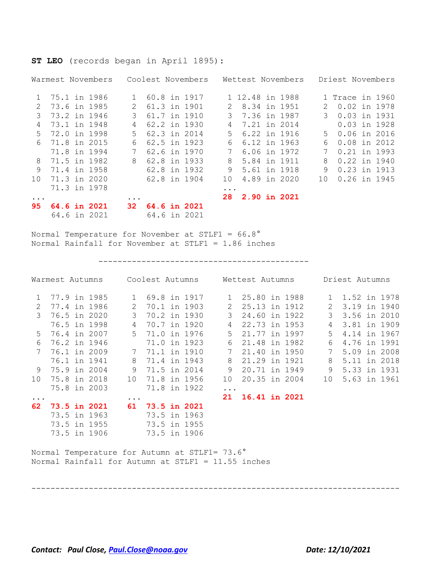**ST LEO** (records began in April 1895):

|                |  | Warmest Novembers   |               |              | Coolest Novembers |          | Wettest Novembers |  |               | Driest Novembers |  |
|----------------|--|---------------------|---------------|--------------|-------------------|----------|-------------------|--|---------------|------------------|--|
| 1 75.1 in 1986 |  |                     | $\mathbf{1}$  |              | 60.8 in 1917      |          | 1 12.48 in 1988   |  |               | 1 Trace in 1960  |  |
| 2              |  | 73.6 in 1985        | $\mathcal{L}$ | 61.3 in 1901 |                   | 2        | 8.34 in 1951      |  | $\mathcal{L}$ | 0.02 in 1978     |  |
| 3              |  | 73.2 in 1946        | 3             | 61.7 in 1910 |                   |          | 3 7.36 in 1987    |  |               | 3 0.03 in 1931   |  |
| 4              |  | 73.1 in 1948        | 4             | 62.2 in 1930 |                   | 4        | 7.21 in 2014      |  |               | $0.03$ in 1928   |  |
| 5              |  | 72.0 in 1998        | .5            | 62.3 in 2014 |                   | .5       | 6.22 in 1916      |  | $5 -$         | 0.06 in 2016     |  |
| 6              |  | 71.8 in 2015        | 6             |              | 62.5 in 1923      | 6        | 6.12 in 1963      |  | 6             | 0.08 in 2012     |  |
|                |  | 71.8 in 1994        |               | 62.6 in 1970 |                   |          | 6.06 in 1972      |  |               | 0.21 in 1993     |  |
| 8              |  | 71.5 in 1982        | 8             | 62.8 in 1933 |                   | 8        | 5.84 in 1911      |  | 8             | 0.22 in 1940     |  |
| 9              |  | 71.4 in 1958        |               | 62.8 in 1932 |                   | 9        | 5.61 in 1918      |  | 9             | 0.23 in 1913     |  |
| 10             |  | 71.3 in 2020        |               | 62.8 in 1904 |                   | 10       | 4.89 in 2020      |  | 10            | 0.26 in 1945     |  |
|                |  | 71.3 in 1978        |               |              |                   | $\cdots$ |                   |  |               |                  |  |
| $\ddots$ .     |  |                     | $\cdot$       |              |                   |          | 28 2.90 in 2021   |  |               |                  |  |
| 95.            |  | <b>64.6 in 2021</b> | 32.           |              | 64.6 in 2021      |          |                   |  |               |                  |  |
|                |  | 64.6 in 2021        |               | 64.6 in 2021 |                   |          |                   |  |               |                  |  |

Normal Temperature for November at STLF1 = 66.8° Normal Rainfall for November at STLF1 = 1.86 inches

--------------------------------------------

|               | Warmest Autumns |              | Coolest Autumns |  |               | Wettest Autumns  |  |                 | Driest Autumns |  |
|---------------|-----------------|--------------|-----------------|--|---------------|------------------|--|-----------------|----------------|--|
|               | 77.9 in 1985    | $\mathbf{1}$ | 69.8 in 1917    |  |               | 1 25.80 in 1988  |  |                 | 1.52 in 1978   |  |
| 2             | 77.4 in 1986    | 2            | 70.1 in 1903    |  | 2             | 25.13 in 1912    |  | 2               | 3.19 in 1940   |  |
| $\mathcal{E}$ | 76.5 in 2020    | 3            | 70.2 in 1930    |  | $\mathcal{E}$ | 24.60 in 1922    |  | $\mathcal{S}$   | 3.56 in 2010   |  |
|               | 76.5 in 1998    | 4            | 70.7 in 1920    |  | 4             | 22.73 in 1953    |  | 4               | 3.81 in 1909   |  |
| .5            | 76.4 in 2007    | 5            | 71.0 in 1976    |  | $5^{\circ}$   | 21.77 in 1997    |  | $5 -$           | 4.14 in 1967   |  |
| 6             | 76.2 in 1946    |              | 71.0 in 1923    |  | 6             | 21.48 in 1982    |  | 6               | 4.76 in 1991   |  |
|               | 76.1 in 2009    |              | 71.1 in 1910    |  |               | 21.40 in 1950    |  |                 | 5.09 in 2008   |  |
|               | 76.1 in 1941    | 8            | 71.4 in 1943    |  | 8             | 21.29 in 1921    |  | 8               | 5.11 in 2018   |  |
| 9             | 75.9 in 2004    | 9            | 71.5 in 2014    |  | 9             | 20.71 in 1949    |  | 9               | 5.33 in 1931   |  |
| 10            | 75.8 in 2018    | 10           | 71.8 in 1956    |  | 10            | 20.35 in 2004    |  | 10 <sup>°</sup> | 5.63 in 1961   |  |
|               | 75.8 in 2003    |              | 71.8 in 1922    |  | .             |                  |  |                 |                |  |
| $\cdots$      |                 | $\cdots$     |                 |  |               | 21 16.41 in 2021 |  |                 |                |  |
| 62            | 73.5 in 2021    | 61           | 73.5 in 2021    |  |               |                  |  |                 |                |  |
|               | 73.5 in 1963    |              | 73.5 in 1963    |  |               |                  |  |                 |                |  |
|               | 73.5 in 1955    |              | 73.5 in 1955    |  |               |                  |  |                 |                |  |
|               | 73.5 in 1906    |              | 73.5 in 1906    |  |               |                  |  |                 |                |  |
|               |                 |              |                 |  |               |                  |  |                 |                |  |

Normal Temperature for Autumn at STLF1= 73.6° Normal Rainfall for Autumn at STLF1 = 11.55 inches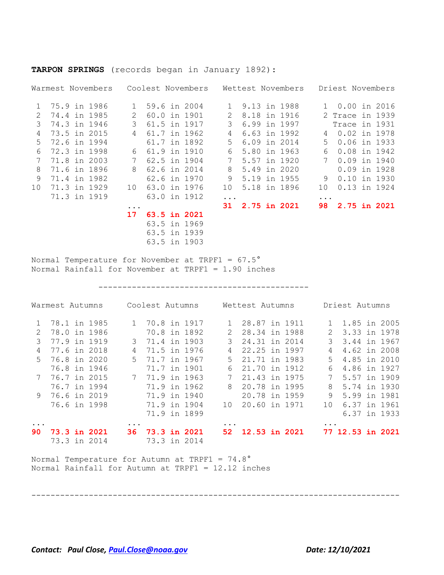|    |  | Warmest Novembers |              |              | Coolest Novembers |              |                     | Wettest Novembers |          | Driest Novembers |  |
|----|--|-------------------|--------------|--------------|-------------------|--------------|---------------------|-------------------|----------|------------------|--|
| 1  |  | 75.9 in 1986      | $\mathbf{1}$ | 59.6 in 2004 |                   | $\mathbf{1}$ | 9.13 in 1988        |                   |          | 1 0.00 in 2016   |  |
| 2  |  | 74.4 in 1985      | 2            | 60.0 in 1901 |                   | 2            | 8.18 in 1916        |                   |          | 2 Trace in 1939  |  |
| 3  |  | 74.3 in 1946      | 3            | 61.5 in 1917 |                   | 3            | 6.99 in 1997        |                   |          | Trace in 1931    |  |
| 4  |  | 73.5 in 2015      | 4            | 61.7 in 1962 |                   | 4            | 6.63 in 1992        |                   | 4        | 0.02 in 1978     |  |
| 5  |  | 72.6 in 1994      |              | 61.7 in 1892 |                   | 5.           | 6.09 in 2014        |                   | 5        | 0.06 in 1933     |  |
| 6  |  | 72.3 in 1998      | 6            | 61.9 in 1910 |                   | 6            | 5.80 in 1963        |                   | 6        | 0.08 in 1942     |  |
| 7  |  | 71.8 in 2003      |              | 62.5 in 1904 |                   |              | 5.57 in 1920        |                   | 7        | $0.09$ in 1940   |  |
| 8  |  | 71.6 in 1896      | 8            | 62.6 in 2014 |                   | 8            | 5.49 in 2020        |                   |          | $0.09$ in 1928   |  |
| 9  |  | 71.4 in 1982      |              | 62.6 in 1970 |                   | 9            | 5.19 in 1955        |                   | 9        | 0.10 in 1930     |  |
| 10 |  | 71.3 in 1929      | $10^{\circ}$ | 63.0 in 1976 |                   | 10           | 5.18 in 1896        |                   | 10       | 0.13 in 1924     |  |
|    |  | 71.3 in 1919      |              | 63.0 in 1912 |                   | $\ddots$ .   |                     |                   | $\ddots$ |                  |  |
|    |  |                   | $\ddotsc$    |              |                   | 31           | <b>2.75 in 2021</b> |                   | 98       | 2.75 in 2021     |  |
|    |  |                   | $17 \,$      | 63.5 in 2021 |                   |              |                     |                   |          |                  |  |
|    |  |                   |              | 63.5 in 1969 |                   |              |                     |                   |          |                  |  |
|    |  |                   |              | 63.5 in 1939 |                   |              |                     |                   |          |                  |  |
|    |  |                   |              | 63.5 in 1903 |                   |              |                     |                   |          |                  |  |
|    |  |                   |              |              |                   |              |                     |                   |          |                  |  |

**TARPON SPRINGS** (records began in January 1892):

Normal Temperature for November at TRPF1 = 67.5° Normal Rainfall for November at TRPF1 = 1.90 inches

--------------------------------------------

|     | Warmest Autumns | Coolest Autumns |                     |          | Wettest Autumns |           | Driest Autumns   |  |
|-----|-----------------|-----------------|---------------------|----------|-----------------|-----------|------------------|--|
|     | 78.1 in 1985    | 1 70.8 in 1917  |                     |          | 28.87 in 1911   |           | 1 1.85 in 2005   |  |
|     | 78.0 in 1986    |                 | 70.8 in 1892        | 2        | 28.34 in 1988   | 2         | 3.33 in 1978     |  |
| 3   | 77.9 in 1919    | $\mathcal{E}$   | 71.4 in 1903        | 3        | 24.31 in 2014   | 3         | 3.44 in 1967     |  |
| 4   | 77.6 in 2018    | 4               | 71.5 in 1976        | 4        | 22.25 in 1997   | 4         | 4.62 in 2008     |  |
| 5   | 76.8 in 2020    | .5              | 71.7 in 1967        | .5       | 21.71 in 1983   | 5.        | 4.85 in 2010     |  |
|     | 76.8 in 1946    |                 | 71.7 in 1901        | 6        | 21.70 in 1912   | 6         | 4.86 in 1927     |  |
|     | 76.7 in 2015    |                 | 71.9 in 1963        |          | 21.43 in 1975   |           | 5.57 in 1909     |  |
|     | 76.7 in 1994    |                 | 71.9 in 1962        | 8        | 20.78 in 1995   | 8         | 5.74 in 1930     |  |
| 9   | 76.6 in 2019    |                 | 71.9 in 1940        |          | 20.78 in 1959   | 9         | 5.99 in 1981     |  |
|     | 76.6 in 1998    |                 | 71.9 in 1904        | 1 O      | 20.60 in 1971   | $10^{-}$  | 6.37 in 1961     |  |
|     |                 |                 | 71.9 in 1899        |          |                 |           | 6.37 in 1933     |  |
|     |                 | $\cdots$        |                     | $\cdots$ |                 | $\ddotsc$ |                  |  |
| 90. | 73.3 in 2021    | 36.             | <b>73.3 in 2021</b> | 52.      | 12.53 in 2021   |           | 77 12.53 in 2021 |  |
|     | 73.3 in 2014    |                 | 73.3 in 2014        |          |                 |           |                  |  |
|     |                 |                 |                     |          |                 |           |                  |  |

-----------------------------------------------------------------------------

Normal Temperature for Autumn at TRPF1 = 74.8° Normal Rainfall for Autumn at TRPF1 = 12.12 inches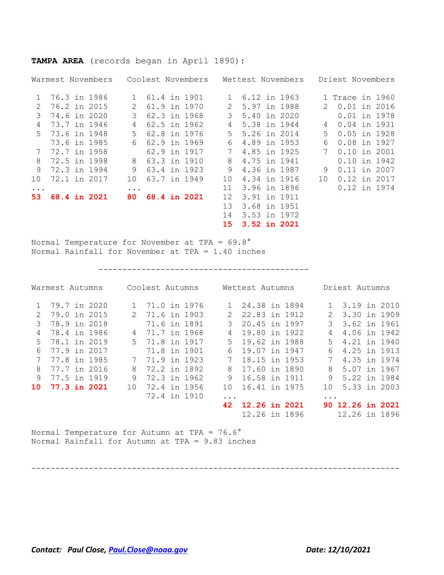|               |              | Warmest Novembers |               |              | Coolest Novembers |               |              | Wettest Novembers |               | Driest Novembers |  |
|---------------|--------------|-------------------|---------------|--------------|-------------------|---------------|--------------|-------------------|---------------|------------------|--|
| 1             |              | 76.3 in 1986      |               | 61.4 in 1901 |                   | $\mathbf{1}$  | 6.12 in 1963 |                   |               | 1 Trace in 1960  |  |
| $\mathcal{L}$ | 76.2 in 2015 |                   | $\mathcal{P}$ | 61.9 in 1970 |                   | $\mathcal{L}$ | 5.97 in 1988 |                   | $\mathcal{P}$ | 0.01 in 2016     |  |
| 3             | 74.6 in 2020 |                   | 3             | 62.3 in 1968 |                   | 3             | 5.40 in 2020 |                   |               | 0.01 in 1978     |  |
| 4             |              | 73.7 in 1946      | 4             | 62.5 in 1962 |                   | 4             | 5.38 in 1944 |                   | 4             | 0.04 in 1931     |  |
| 5             | 73.6 in 1948 |                   | .5            | 62.8 in 1976 |                   | $5 -$         | 5.26 in 2014 |                   | .5            | $0.05$ in 1928   |  |
|               |              | 73.6 in 1985      | 6             | 62.9 in 1969 |                   | 6             | 4.89 in 1953 |                   | 6             | 0.08 in 1927     |  |
| 7             | 72.7 in 1958 |                   |               | 62.9 in 1917 |                   |               | 4.85 in 1925 |                   |               | $0.10$ in 2001   |  |
| 8             | 72.5 in 1998 |                   | 8             | 63.3 in 1910 |                   | 8             | 4.75 in 1941 |                   |               | $0.10$ in 1942   |  |
| 9             |              | 72.3 in 1994      | 9             | 63.4 in 1923 |                   | 9             | 4.36 in 1987 |                   | 9             | 0.11 in 2007     |  |
| $10^{\circ}$  | 72.1 in 2017 |                   | 10            | 63.7 in 1949 |                   | $10 \,$       | 4.34 in 1916 |                   | 10            | 0.12 in 2017     |  |
| $\cdots$      |              |                   | $\cdots$      |              |                   | 11            | 3.96 in 1896 |                   |               | 0.12 in 1974     |  |
| 53.           |              | 68.4 in 2021      | 80.           | 68.4 in 2021 |                   | 12            | 3.91 in 1911 |                   |               |                  |  |
|               |              |                   |               |              |                   | 13            | 3.68 in 1951 |                   |               |                  |  |
|               |              |                   |               |              |                   | 14            | 3.53 in 1972 |                   |               |                  |  |
|               |              |                   |               |              |                   | 15            | 3.52 in 2021 |                   |               |                  |  |

**TAMPA AREA** (records began in April 1890):

Normal Temperature for November at TPA = 69.8° Normal Rainfall for November at TPA = 1.40 inches

--------------------------------------------

|               | Warmest Autumns | Coolest Autumns |              |           | Wettest Autumns |          | Driest Autumns   |  |
|---------------|-----------------|-----------------|--------------|-----------|-----------------|----------|------------------|--|
|               | 79.7 in 2020    |                 | 71.0 in 1976 |           | 24.38 in 1894   |          | 3.19 in 2010     |  |
| $\mathcal{L}$ | 79.0 in 2015    |                 | 71.6 in 1903 |           | 22.83 in 1912   | 2        | 3.30 in 1909     |  |
| 3             | 78.9 in 2018    |                 | 71.6 in 1891 | 3         | 20.45 in 1997   | 3        | 3.62 in 1961     |  |
| 4             | 78.4 in 1986    | 4               | 71.7 in 1968 |           | 19.80 in 1922   | 4        | 4.06 in 1942     |  |
| 5             | 78.1 in 2019    | $5 -$           | 71.8 in 1917 | 5.        | 19.62 in 1988   | 5.       | 4.21 in 1940     |  |
| 6             | 77.9 in 2017    |                 | 71.8 in 1901 | 6         | 19.07 in 1947   | 6        | 4.25 in 1913     |  |
|               | 77.8 in 1985    | 7               | 71.9 in 1923 |           | 18.15 in 1953   |          | 4.35 in 1974     |  |
| 8             | 77.7 in 2016    | 8               | 72.2 in 1892 | 8         | 17.60 in 1890   | 8        | 5.07 in 1967     |  |
| 9             | 77.5 in 1919    | 9               | 72.3 in 1962 | 9         | 16.58 in 1911   | 9        | 5.22 in 1984     |  |
| 10            | 77.3 in 2021    | 10              | 72.4 in 1956 | 10        | 16.41 in 1975   | 1 O      | 5.33 in 2003     |  |
|               |                 |                 | 72.4 in 1910 | $\ddotsc$ |                 | $\cdots$ |                  |  |
|               |                 |                 |              | 42        | 12.26 in 2021   |          | 90 12.26 in 2021 |  |
|               |                 |                 |              |           | 12.26 in 1896   |          | 12.26 in 1896    |  |

Normal Temperature for Autumn at TPA = 76.6° Normal Rainfall for Autumn at TPA = 9.83 inches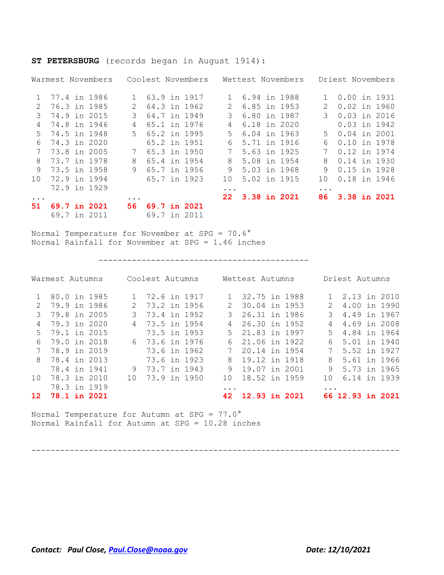|           |              | Warmest Novembers |     |              | Coolest Novembers |               |              | Wettest Novembers |               | Driest Novembers |  |
|-----------|--------------|-------------------|-----|--------------|-------------------|---------------|--------------|-------------------|---------------|------------------|--|
|           | 77.4 in 1986 |                   |     | 63.9 in 1917 |                   |               | 6.94 in 1988 |                   |               | 0.00 in 1931     |  |
| 2         | 76.3 in 1985 |                   |     | 64.3 in 1962 |                   | $\mathcal{L}$ | 6.85 in 1953 |                   | $\mathcal{L}$ | $0.02$ in 1960   |  |
| 3         | 74.9 in 2015 |                   |     | 64.7 in 1949 |                   |               | 6.80 in 1987 |                   | 3             | $0.03$ in 2016   |  |
| 4         | 74.8 in 1946 |                   | 4   | 65.1 in 1976 |                   | 4             | 6.18 in 2020 |                   |               | $0.03$ in 1942   |  |
| .5        | 74.5 in 1948 |                   | 5   | 65.2 in 1995 |                   | 5.            | 6.04 in 1963 |                   | .5            | $0.04$ in 2001   |  |
| 6         | 74.3 in 2020 |                   |     | 65.2 in 1951 |                   | 6             | 5.71 in 1916 |                   | 6             | 0.10 in 1978     |  |
|           | 73.8 in 2005 |                   |     | 65.3 in 1950 |                   |               | 5.63 in 1925 |                   |               | 0.12 in 1974     |  |
| 8         | 73.7 in 1978 |                   | 8   | 65.4 in 1954 |                   | 8             | 5.08 in 1954 |                   | 8             | 0.14 in 1930     |  |
| 9         | 73.5 in 1958 |                   | 9   | 65.7 in 1956 |                   | 9             | 5.03 in 1968 |                   | 9             | $0.15$ in 1928   |  |
| 1 O       | 72.9 in 1994 |                   |     | 65.7 in 1923 |                   | 10            | 5.02 in 1915 |                   | 10            | 0.18 in 1946     |  |
|           | 72.9 in 1929 |                   |     |              |                   | $\cdots$      |              |                   | $\ddotsc$     |                  |  |
| $\ddotsc$ |              |                   |     |              |                   | 22.           | 3.38 in 2021 |                   | 86            | 3.38 in 2021     |  |
| 51.       | 69.7 in 2021 |                   | 56. | 69.7 in 2021 |                   |               |              |                   |               |                  |  |
|           | 69.7 in 2011 |                   |     | 69.7 in 2011 |                   |               |              |                   |               |                  |  |

#### **ST PETERSBURG** (records began in August 1914):

Normal Temperature for November at SPG = 70.6° Normal Rainfall for November at SPG = 1.46 inches

#### --------------------------------------------

| Warmest Autumns  |              |       | Coolest Autumns |  |               | Wettest Autumns |  |                      | Driest Autumns   |  |
|------------------|--------------|-------|-----------------|--|---------------|-----------------|--|----------------------|------------------|--|
|                  | 80.0 in 1985 |       | 1 72.6 in 1917  |  |               | 32.75 in 1988   |  |                      | 1 2.13 in 2010   |  |
| $\mathcal{L}$    | 79.9 in 1986 | $2 -$ | 73.2 in 1956    |  | $\mathcal{L}$ | 30.04 in 1953   |  | 2                    | 4.00 in 1990     |  |
| 3                | 79.8 in 2005 | 3.    | 73.4 in 1952    |  | 3.            | 26.31 in 1986   |  | 3                    | 4.49 in 1967     |  |
| 4                | 79.3 in 2020 |       | 4 73.5 in 1954  |  | 4             | 26.30 in 1952   |  | 4                    | 4.69 in 2008     |  |
| $5 -$            | 79.1 in 2015 |       | 73.5 in 1953    |  | .5            | 21.83 in 1997   |  | $5 -$                | 4.84 in 1964     |  |
| 6                | 79.0 in 2018 |       | 6 73.6 in 1976  |  | 6             | 21.06 in 1922   |  | 6                    | 5.01 in 1940     |  |
| 7                | 78.9 in 2019 |       | 73.6 in 1962    |  |               | 20.14 in 1954   |  | 7                    | 5.52 in 1927     |  |
| 8                | 78.4 in 2013 |       | 73.6 in 1923    |  | 8             | 19.12 in 1918   |  | 8                    | 5.61 in 1966     |  |
|                  | 78.4 in 1941 |       | 9 73.7 in 1943  |  | 9             | 19.07 in 2001   |  |                      | 9 5.73 in 1965   |  |
| 10 <sup>1</sup>  | 78.3 in 2010 | 1 O   | 73.9 in 1950    |  | 10            | 18.52 in 1959   |  | 1 N                  | 6.14 in 1939     |  |
|                  | 78.3 in 1919 |       |                 |  | $\ddotsc$     |                 |  | $\ddot{\phantom{a}}$ |                  |  |
| 12 <sup>12</sup> | 78.1 in 2021 |       |                 |  | 42            | 12.93 in 2021   |  |                      | 66 12.93 in 2021 |  |

Normal Temperature for Autumn at SPG = 77.0° Normal Rainfall for Autumn at SPG = 10.28 inches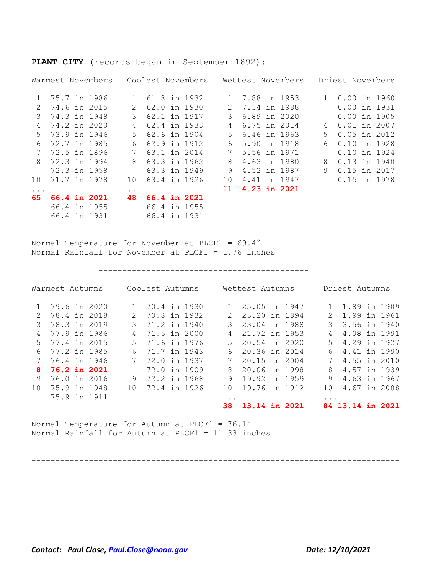|           |  | Warmest Novembers                            |               |                              | Coolest Novembers |    |              | Wettest Novembers |              | Driest Novembers |  |
|-----------|--|----------------------------------------------|---------------|------------------------------|-------------------|----|--------------|-------------------|--------------|------------------|--|
|           |  | 1 75.7 in 1986                               |               | 61.8 in 1932                 |                   | 1  | 7.88 in 1953 |                   | $\mathbf{1}$ | 0.00 in 1960     |  |
| 2         |  | 74.6 in 2015                                 | $\mathcal{L}$ | 62.0 in 1930                 |                   | 2  | 7.34 in 1988 |                   |              | 0.00 in 1931     |  |
| 3         |  | 74.3 in 1948                                 | 3             | 62.1 in 1917                 |                   | 3  | 6.89 in 2020 |                   |              | $0.00$ in 1905   |  |
| 4         |  | 74.2 in 2020                                 | 4             | 62.4 in 1933                 |                   | 4  | 6.75 in 2014 |                   | 4            | $0.01$ in 2007   |  |
| .5        |  | 73.9 in 1946                                 | .5            | 62.6 in 1904                 |                   | .5 | 6.46 in 1963 |                   | 5.           | $0.05$ in 2012   |  |
| 6         |  | 72.7 in 1985                                 | 6             | 62.9 in 1912                 |                   | 6  | 5.90 in 1918 |                   | 6            | 0.10 in 1928     |  |
|           |  | 72.5 in 1896                                 |               | 63.1 in 2014                 |                   |    | 5.56 in 1971 |                   |              | 0.10 in 1924     |  |
| 8         |  | 72.3 in 1994                                 | 8             | 63.3 in 1962                 |                   | 8  | 4.63 in 1980 |                   | 8            | 0.13 in 1940     |  |
|           |  | 72.3 in 1958                                 |               | 63.3 in 1949                 |                   | 9  | 4.52 in 1987 |                   | 9            | 0.15 in 2017     |  |
| 10        |  | 71.7 in 1978                                 | 10            | 63.4 in 1926                 |                   | 10 | 4.41 in 1947 |                   |              | 0.15 in 1978     |  |
| $\ddotsc$ |  |                                              | $\cdots$      |                              |                   | 11 | 4.23 in 2021 |                   |              |                  |  |
| 65.       |  | 66.4 in 2021<br>66.4 in 1955<br>66.4 in 1931 | 48            | 66.4 in 2021<br>66.4 in 1931 | 66.4 in 1955      |    |              |                   |              |                  |  |

**PLANT CITY** (records began in September 1892):

Normal Temperature for November at PLCF1 = 69.4° Normal Rainfall for November at PLCF1 = 1.76 inches

--------------------------------------------

|     | Warmest Autumns |  |     | Coolest Autumns |  |               | Wettest Autumns |  |                        | Driest Autumns |  |
|-----|-----------------|--|-----|-----------------|--|---------------|-----------------|--|------------------------|----------------|--|
|     | 79.6 in 2020    |  |     | 70.4 in 1930    |  |               | 25.05 in 1947   |  |                        | 1.89 in 1909   |  |
|     | 78.4 in 2018    |  |     | 70.8 in 1932    |  | $\mathcal{P}$ | 23.20 in 1894   |  | 2                      | 1.99 in 1961   |  |
| 3   | 78.3 in 2019    |  | 3   | 71.2 in 1940    |  | 3             | 23.04 in 1988   |  | 3                      | 3.56 in 1940   |  |
| 4   | 77.9 in 1986    |  | 4   | 71.5 in 2000    |  | 4             | 21.72 in 1953   |  | 4                      | 4.08 in 1991   |  |
| .5  | 77.4 in 2015    |  | .5  | 71.6 in 1976    |  | .5            | 20.54 in 2020   |  | 5.                     | 4.29 in 1927   |  |
| 6   | 77.2 in 1985    |  | 6   | 71.7 in 1943    |  | 6             | 20.36 in 2014   |  | 6                      | 4.41 in 1990   |  |
|     | 76.4 in 1946    |  | 7   | 72.0 in 1937    |  |               | 20.15 in 2004   |  |                        | 4.55 in 2010   |  |
| 8   | 76.2 in 2021    |  |     | 72.0 in 1909    |  | 8             | 20.06 in 1998   |  | 8                      | 4.57 in 1939   |  |
| 9   | 76.0 in 2016    |  | 9   | 72.2 in 1968    |  | 9             | 19.92 in 1959   |  | 9                      | 4.63 in 1967   |  |
| 1 O | 75.9 in 1948    |  | 1 O | 72.4 in 1926    |  | 1 O           | 19.76 in 1912   |  | 1 O                    | 4.67 in 2008   |  |
|     | 75.9 in 1911    |  |     |                 |  | $\cdots$      |                 |  | $\ddot{\phantom{a}}$ . |                |  |
|     |                 |  |     |                 |  | 38            | 13.14 in 2021   |  |                        | 13.14 in 2021  |  |

Normal Temperature for Autumn at PLCF1 = 76.1° Normal Rainfall for Autumn at PLCF1 = 11.33 inches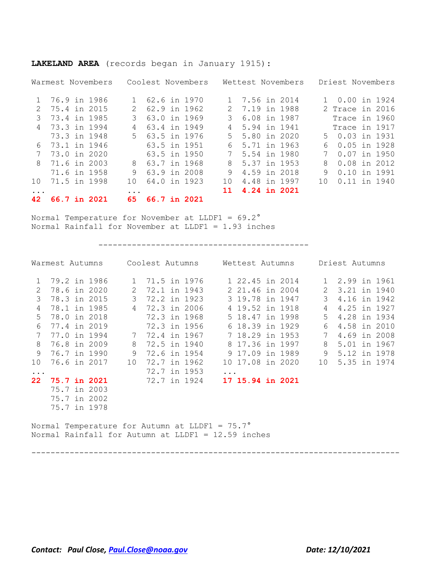|     |  | Warmest Novembers |          |              | Coolest Novembers |               |                | Wettest Novembers |     | Driest Novembers |  |
|-----|--|-------------------|----------|--------------|-------------------|---------------|----------------|-------------------|-----|------------------|--|
|     |  | 1 76.9 in 1986    |          | 62.6 in 1970 |                   |               | 1 7.56 in 2014 |                   | 1.  | 0.00 in 1924     |  |
|     |  | 75.4 in 2015      |          | 62.9 in 1962 |                   | $\mathcal{L}$ | 7.19 in 1988   |                   |     | 2 Trace in 2016  |  |
| २   |  | 73.4 in 1985      | 3        | 63.0 in 1969 |                   | 3             | 6.08 in 1987   |                   |     | Trace in 1960    |  |
| 4   |  | 73.3 in 1994      |          | 63.4 in 1949 |                   | 4             | 5.94 in 1941   |                   |     | Trace in 1917    |  |
|     |  | 73.3 in 1948      | 5.       | 63.5 in 1976 |                   | 5.            | 5.80 in 2020   |                   |     | 5 0.03 in 1931   |  |
| 6   |  | 73.1 in 1946      |          | 63.5 in 1951 |                   | 6.            | 5.71 in 1963   |                   | 6   | $0.05$ in 1928   |  |
|     |  | 73.0 in 2020      |          | 63.5 in 1950 |                   |               | 5.54 in 1980   |                   |     | $0.07$ in 1950   |  |
| 8   |  | 71.6 in 2003      | 8        | 63.7 in 1968 |                   | 8             | 5.37 in 1953   |                   | 8   | $0.08$ in 2012   |  |
|     |  | 71.6 in 1958      | 9        | 63.9 in 2008 |                   | 9             | 4.59 in 2018   |                   | 9   | 0.10 in 1991     |  |
| 1 O |  | 71.5 in 1998      | 1 O      | 64.0 in 1923 |                   | 10            | 4.48 in 1997   |                   | 1 O | $0.11$ in 1940   |  |
|     |  |                   | $\cdots$ |              |                   | 11            | 4.24 in 2021   |                   |     |                  |  |
| 42  |  | 66.7 in 2021      | 65.      | 66.7 in 2021 |                   |               |                |                   |     |                  |  |

**LAKELAND AREA** (records began in January 1915):

Normal Temperature for November at LLDF1 = 69.2° Normal Rainfall for November at LLDF1 = 1.93 inches

--------------------------------------------

|                 | Warmest Autumns                                       |              |              | Coolest Autumns | Wettest Autumns  |  |                 | Driest Autumns |  |
|-----------------|-------------------------------------------------------|--------------|--------------|-----------------|------------------|--|-----------------|----------------|--|
| $\mathbf{1}$    | 79.2 in 1986                                          | $\mathbf{1}$ |              | 71.5 in 1976    | 1 22.45 in 2014  |  | $\mathbf{1}$    | 2.99 in 1961   |  |
| 2               | 78.6 in 2020                                          | 2            | 72.1 in 1943 |                 | 2 21.46 in 2004  |  | 2               | 3.21 in 1940   |  |
| $\mathcal{E}$   | 78.3 in 2015                                          | 3            | 72.2 in 1923 |                 | 3 19.78 in 1947  |  | $\mathcal{L}$   | 4.16 in 1942   |  |
| 4               | 78.1 in 1985                                          | 4            | 72.3 in 2006 |                 | 4 19.52 in 1918  |  | 4               | 4.25 in 1927   |  |
| 5               | 78.0 in 2018                                          |              | 72.3 in 1968 |                 | 5 18.47 in 1998  |  | 5               | 4.28 in 1934   |  |
| 6               | 77.4 in 2019                                          |              | 72.3 in 1956 |                 | 6 18.39 in 1929  |  | 6               | 4.58 in 2010   |  |
| 7               | 77.0 in 1994                                          | 7            | 72.4 in 1967 |                 | 7 18.29 in 1953  |  | 7               | 4.69 in 2008   |  |
| 8               | 76.8 in 2009                                          | 8            | 72.5 in 1940 |                 | 8 17.36 in 1997  |  | 8               | 5.01 in 1967   |  |
| 9               | 76.7 in 1990                                          | 9            | 72.6 in 1954 |                 | 9 17.09 in 1989  |  | 9               | 5.12 in 1978   |  |
| 10              | 76.6 in 2017                                          | 10           | 72.7 in 1962 |                 | 10 17.08 in 2020 |  | 10 <sup>1</sup> | 5.35 in 1974   |  |
| $\ddots$        |                                                       |              | 72.7 in 1953 |                 |                  |  |                 |                |  |
| 22 <sub>2</sub> | <b>75.7 in 2021</b>                                   |              | 72.7 in 1924 |                 | 17 15.94 in 2021 |  |                 |                |  |
|                 | 75.7 in 2003                                          |              |              |                 |                  |  |                 |                |  |
|                 | 75.7 in 2002                                          |              |              |                 |                  |  |                 |                |  |
|                 | 75.7 in 1978                                          |              |              |                 |                  |  |                 |                |  |
|                 | Normal Temperature for Autumn at LLDF1 = $75.7^\circ$ |              |              |                 |                  |  |                 |                |  |

-----------------------------------------------------------------------------

Normal Rainfall for Autumn at LLDF1 = 12.59 inches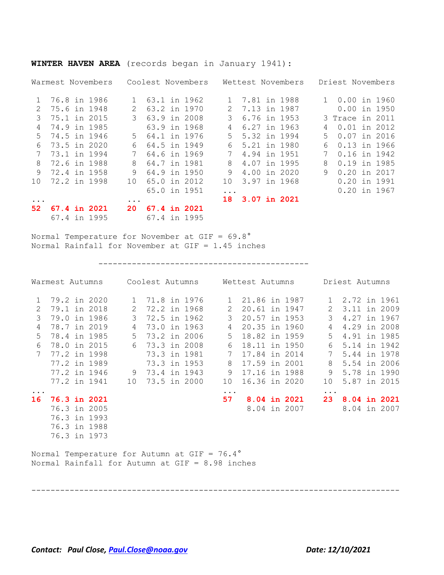|                 |              | Warmest Novembers |               |              | Coolest Novembers |               |              | Wettest Novembers |              | Driest Novembers |  |
|-----------------|--------------|-------------------|---------------|--------------|-------------------|---------------|--------------|-------------------|--------------|------------------|--|
|                 | 76.8 in 1986 |                   | $\mathbf{1}$  | 63.1 in 1962 |                   | 1             | 7.81 in 1988 |                   | $\mathbf{1}$ | 0.00 in 1960     |  |
| $\mathcal{L}$   | 75.6 in 1948 |                   | $\mathcal{P}$ | 63.2 in 1970 |                   | $\mathcal{L}$ | 7.13 in 1987 |                   |              | $0.00$ in 1950   |  |
| 3               | 75.1 in 2015 |                   |               | 63.9 in 2008 |                   |               | 6.76 in 1953 |                   |              | 3 Trace in 2011  |  |
| 4               | 74.9 in 1985 |                   |               | 63.9 in 1968 |                   | 4             | 6.27 in 1963 |                   | 4            | $0.01$ in 2012   |  |
| .5              | 74.5 in 1946 |                   | $5 -$         | 64.1 in 1976 |                   | .5            | 5.32 in 1994 |                   | 5.           | $0.07$ in 2016   |  |
| 6               | 73.5 in 2020 |                   | 6             | 64.5 in 1949 |                   | 6             | 5.21 in 1980 |                   | 6            | $0.13$ in 1966   |  |
|                 | 73.1 in 1994 |                   | 7             | 64.6 in 1969 |                   | 7             | 4.94 in 1951 |                   |              | 0.16 in 1942     |  |
| 8               | 72.6 in 1988 |                   | 8             | 64.7 in 1981 |                   | 8             | 4.07 in 1995 |                   | 8            | 0.19 in 1985     |  |
| 9               | 72.4 in 1958 |                   | 9             | 64.9 in 1950 |                   | 9             | 4.00 in 2020 |                   | 9            | $0.20$ in 2017   |  |
| 10              | 72.2 in 1998 |                   | 1 O           | 65.0 in 2012 |                   | 10            | 3.97 in 1968 |                   |              | 0.20 in 1991     |  |
|                 |              |                   |               | 65.0 in 1951 |                   | $\ddotsc$     |              |                   |              | $0.20$ in 1967   |  |
|                 |              |                   | $\cdots$      |              |                   | 18            | 3.07 in 2021 |                   |              |                  |  |
| 52 <sub>2</sub> | 67.4 in 2021 |                   | 20            | 67.4 in 2021 |                   |               |              |                   |              |                  |  |
|                 | 67.4 in 1995 |                   |               | 67.4 in 1995 |                   |               |              |                   |              |                  |  |

**WINTER HAVEN AREA** (records began in January 1941):

Normal Temperature for November at GIF = 69.8° Normal Rainfall for November at GIF = 1.45 inches

--------------------------------------------

|              |                     |              |                |              |              |                                                                                                            | Warmest Autumns Coolest Autumns Mettest Autumns Driest Autumns |                     |            |                |              |
|--------------|---------------------|--------------|----------------|--------------|--------------|------------------------------------------------------------------------------------------------------------|----------------------------------------------------------------|---------------------|------------|----------------|--------------|
| $\mathbf{1}$ |                     | 79.2 in 2020 | 1              |              | 71.8 in 1976 |                                                                                                            | 1 21.86 in 1987                                                |                     |            | 1 2.72 in 1961 |              |
| 2            | 79.1 in 2018        |              | $\mathbf{2}$   | 72.2 in 1968 |              | 2                                                                                                          | 20.61 in 1947                                                  |                     |            | 2 3.11 in 2009 |              |
| 3            | 79.0 in 1986        |              | 3 <sup>7</sup> |              | 72.5 in 1962 | 3                                                                                                          | 20.57 in 1953                                                  |                     | 3          | 4.27 in 1967   |              |
| 4            | 78.7 in 2019        |              | 4              |              | 73.0 in 1963 | 4                                                                                                          | 20.35 in 1960                                                  |                     | 4          | 4.29 in 2008   |              |
| $5^{\circ}$  | 78.4 in 1985        |              | $5 -$          |              | 73.2 in 2006 | 5                                                                                                          | 18.82 in 1959                                                  |                     | 5          | 4.91 in 1985   |              |
| 6            | 78.0 in 2015        |              | 6              |              | 73.3 in 2008 | 6                                                                                                          | 18.11 in 1950                                                  |                     | 6          | 5.14 in 1942   |              |
| 7            | 77.2 in 1998        |              |                |              | 73.3 in 1981 | 7                                                                                                          | 17.84 in 2014                                                  |                     | 7          | 5.44 in 1978   |              |
|              |                     | 77.2 in 1989 |                |              | 73.3 in 1953 | 8                                                                                                          | 17.59 in 2001                                                  |                     | 8          | 5.54 in 2006   |              |
|              |                     | 77.2 in 1946 | 9              | 73.4 in 1943 |              | 9                                                                                                          | 17.16 in 1988                                                  |                     | 9          | 5.78 in 1990   |              |
|              |                     | 77.2 in 1941 | 10             |              | 73.5 in 2000 | 10                                                                                                         | 16.36 in 2020                                                  |                     | 10         |                | 5.87 in 2015 |
| $\ddots$     |                     |              |                |              |              | .                                                                                                          |                                                                |                     | $\ddots$ . |                |              |
| 16           | <b>76.3 in 2021</b> |              |                |              |              | 57                                                                                                         |                                                                | <b>8.04 in 2021</b> | 23         | 8.04 in 2021   |              |
|              |                     | 76.3 in 2005 |                |              |              |                                                                                                            |                                                                | 8.04 in 2007        |            | 8.04 in 2007   |              |
|              | 76.3 in 1993        |              |                |              |              |                                                                                                            |                                                                |                     |            |                |              |
|              |                     | 76.3 in 1988 |                |              |              |                                                                                                            |                                                                |                     |            |                |              |
|              | 76.3 in 1973        |              |                |              |              |                                                                                                            |                                                                |                     |            |                |              |
|              |                     |              |                |              |              | Normal Temperature for Autumn at GIF = $76.4^{\circ}$<br>Normal Rainfall for Autumn at $GIF = 8.98$ inches |                                                                |                     |            |                |              |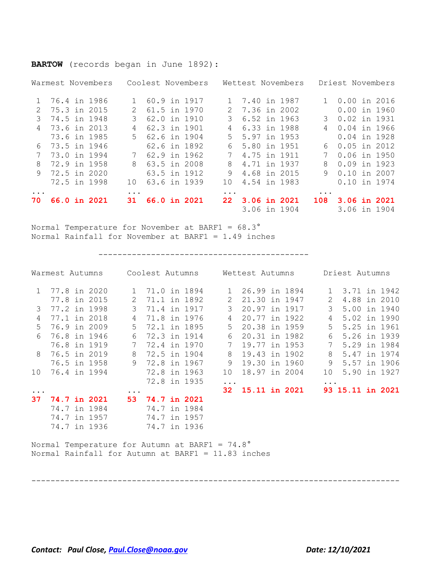#### **BARTOW** (records began in June 1892):

|            |                | Warmest Novembers |           |                | Coolest Novembers |           |                | Wettest Novembers |                | Driest Novembers |  |
|------------|----------------|-------------------|-----------|----------------|-------------------|-----------|----------------|-------------------|----------------|------------------|--|
|            | 1 76.4 in 1986 |                   |           | 60.9 in 1917   |                   |           | 1 7.40 in 1987 |                   |                | $0.00$ in 2016   |  |
|            | 2 75.3 in 2015 |                   | 2         | 61.5 in 1970   |                   |           | 2 7.36 in 2002 |                   |                | $0.00$ in 1960   |  |
| 3          | 74.5 in 1948   |                   | 3         | 62.0 in 1910   |                   | 3         | 6.52 in 1963   |                   | $\mathcal{B}$  | 0.02 in 1931     |  |
|            | 4 73.6 in 2013 |                   |           | 62.3 in 1901   |                   | 4         | 6.33 in 1988   |                   | $\overline{4}$ | 0.04 in 1966     |  |
|            | 73.6 in 1985   |                   |           | 5 62.6 in 1904 |                   |           | 5 5.97 in 1953 |                   |                | 0.04 in 1928     |  |
|            | 6 73.5 in 1946 |                   |           | 62.6 in 1892   |                   |           | 6 5.80 in 1951 |                   |                | $60.05$ in 2012  |  |
|            | 73.0 in 1994   |                   |           | 7 62.9 in 1962 |                   |           | 7 4.75 in 1911 |                   | 7              | $0.06$ in 1950   |  |
| 8          | 72.9 in 1958   |                   |           | 8 63.5 in 2008 |                   |           | 8 4.71 in 1937 |                   | 8              | $0.09$ in 1923   |  |
|            | 9 72.5 in 2020 |                   |           | 63.5 in 1912   |                   | 9         | 4.68 in 2015   |                   | 9              | 0.10 in 2007     |  |
|            | 72.5 in 1998   |                   | 10        | 63.6 in 1939   |                   | 10        | 4.54 in 1983   |                   |                | 0.10 in 1974     |  |
| $\ddots$ . |                |                   | $\ddotsc$ |                |                   | $\ddotsc$ |                |                   | $\ddotsc$      |                  |  |
| 70 -       | 66.0 in 2021   |                   | 31        | 66.0 in 2021   |                   |           |                | 22 3.06 in 2021   |                | 108 3.06 in 2021 |  |
|            |                |                   |           |                |                   |           |                | 3.06 in 1904      |                | 3.06 in 1904     |  |

Normal Temperature for November at BARF1 = 68.3° Normal Rainfall for November at BARF1 = 1.49 inches

--------------------------------------------

|              | Warmest Autumns |              |               | Coolest Autumns |              |               | Wettest Autumns |  |          | Driest Autumns            |  |
|--------------|-----------------|--------------|---------------|-----------------|--------------|---------------|-----------------|--|----------|---------------------------|--|
| $\mathbf{1}$ |                 | 77.8 in 2020 | $\mathbf{1}$  | 71.0 in 1894    |              | $\mathbf{1}$  | 26.99 in 1894   |  |          | 3.71 in 1942<br>$1 \quad$ |  |
|              |                 | 77.8 in 2015 | $\mathcal{L}$ | 71.1 in 1892    |              | $\mathcal{L}$ | 21.30 in 1947   |  | 2        | 4.88 in 2010              |  |
| 3            |                 | 77.2 in 1998 | 3             | 71.4 in 1917    |              | 3             | 20.97 in 1917   |  | 3        | 5.00 in 1940              |  |
| 4            |                 | 77.1 in 2018 | 4             |                 | 71.8 in 1976 | 4             | 20.77 in 1922   |  | 4        | 5.02 in 1990              |  |
| .5           |                 | 76.9 in 2009 | .5            | 72.1 in 1895    |              | 5             | 20.38 in 1959   |  | .5       | 5.25 in 1961              |  |
| 6            |                 | 76.8 in 1946 | 6             | 72.3 in 1914    |              | 6             | 20.31 in 1982   |  | 6        | 5.26 in 1939              |  |
|              |                 | 76.8 in 1919 |               | 72.4 in 1970    |              |               | 19.77 in 1953   |  | 7        | 5.29 in 1984              |  |
| 8            |                 | 76.5 in 2019 | 8             | 72.5 in 1904    |              | 8             | 19.43 in 1902   |  | 8        | 5.47 in 1974              |  |
|              |                 | 76.5 in 1958 | 9             | 72.8 in 1967    |              | 9             | 19.30 in 1960   |  | 9        | 5.57 in 1906              |  |
| 10           |                 | 76.4 in 1994 |               | 72.8 in 1963    |              | 10            | 18.97 in 2004   |  | 10       | 5.90 in 1927              |  |
|              |                 |              |               |                 | 72.8 in 1935 | $\ddots$      |                 |  | $\cdots$ |                           |  |
| $\ddotsc$    |                 |              | $\cdots$      |                 |              | 32            | 15.11 in 2021   |  |          | 93 15.11 in 2021          |  |
| 37           |                 | 74.7 in 2021 | 53.           | 74.7 in 2021    |              |               |                 |  |          |                           |  |
|              |                 | 74.7 in 1984 |               | 74.7 in 1984    |              |               |                 |  |          |                           |  |
|              |                 | 74.7 in 1957 |               | 74.7 in 1957    |              |               |                 |  |          |                           |  |
|              |                 | 74.7 in 1936 |               | 74.7 in 1936    |              |               |                 |  |          |                           |  |

-----------------------------------------------------------------------------

Normal Temperature for Autumn at BARF1 = 74.8° Normal Rainfall for Autumn at BARF1 = 11.83 inches

*Contact: Paul Close, [Paul.Close@noaa.gov](mailto:Paul.Close@noaa.gov) Date: 12/10/2021*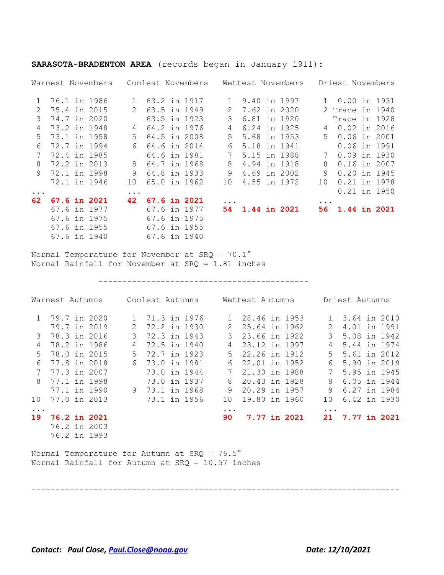|               |              | Warmest Novembers |               |              | Coolest Novembers |                 |                     | Wettest Novembers |              | Driest Novembers |                |
|---------------|--------------|-------------------|---------------|--------------|-------------------|-----------------|---------------------|-------------------|--------------|------------------|----------------|
| $\mathbf{1}$  | 76.1 in 1986 |                   | $\mathbf{1}$  | 63.2 in 1917 |                   |                 | 9.40 in 1997        |                   | $\mathbf{1}$ | 0.00 in 1931     |                |
| $\mathcal{L}$ | 75.4 in 2015 |                   | $\mathcal{L}$ | 63.5 in 1949 |                   | $\mathcal{L}$   | 7.62 in 2020        |                   |              | 2 Trace in 1940  |                |
| 3             | 74.7 in 2020 |                   |               |              | 63.5 in 1923      | 3               | 6.81 in 1920        |                   |              | Trace in 1928    |                |
| 4             | 73.2 in 1948 |                   | 4             | 64.2 in 1976 |                   | 4               | 6.24 in 1925        |                   | 4            | 0.02 in 2016     |                |
| .5            | 73.1 in 1958 |                   | .5            | 64.5 in 2008 |                   | 5               | 5.68 in 1953        |                   | $5 -$        | $0.06$ in 2001   |                |
| 6             | 72.7 in 1994 |                   | 6             | 64.6 in 2014 |                   | 6               | 5.18 in 1941        |                   |              | 0.06 in 1991     |                |
|               | 72.4 in 1985 |                   |               | 64.6 in 1981 |                   | $7\phantom{0}$  | 5.15 in 1988        |                   | 7            | $0.09$ in 1930   |                |
| 8             | 72.2 in 2013 |                   | 8             | 64.7 in 1968 |                   | 8               | 4.94 in 1918        |                   | 8            | 0.16 in 2007     |                |
| 9             | 72.1 in 1998 |                   | 9             | 64.8 in 1933 |                   | 9               | 4.69 in 2002        |                   | 9            | $0.20$ in 1945   |                |
|               |              | 72.1 in 1946      | 10            |              | 65.0 in 1962      | 10 <sup>1</sup> | 4.55 in 1972        |                   | 10           | 0.21 in 1978     |                |
| $\ddots$ .    |              |                   | .             |              |                   |                 |                     |                   |              |                  | $0.21$ in 1950 |
| 62            |              | 67.6 in 2021      | 42            | 67.6 in 2021 |                   |                 |                     |                   |              |                  |                |
|               |              | 67.6 in 1977      |               | 67.6 in 1977 |                   | 54.             | <b>1.44 in 2021</b> |                   |              | 56 1.44 in 2021  |                |
|               |              | 67.6 in 1975      |               | 67.6 in 1975 |                   |                 |                     |                   |              |                  |                |
|               |              | 67.6 in 1955      |               | 67.6 in 1955 |                   |                 |                     |                   |              |                  |                |
|               |              | 67.6 in 1940      |               | 67.6 in 1940 |                   |                 |                     |                   |              |                  |                |

**SARASOTA-BRADENTON AREA** (records began in January 1911):

Normal Temperature for November at SRQ = 70.1° Normal Rainfall for November at SRQ = 1.81 inches

--------------------------------------------

|               |                     | Warmest Autumns Coolest Autumns |                |  |                                                                                                           | Wettest Autumns |              |              | Driest Autumns  |              |
|---------------|---------------------|---------------------------------|----------------|--|-----------------------------------------------------------------------------------------------------------|-----------------|--------------|--------------|-----------------|--------------|
|               |                     | 1 79.7 in 2020                  | 1 71.3 in 1976 |  |                                                                                                           | 1 28.46 in 1953 |              |              | 1 3.64 in 2010  |              |
|               |                     | 79.7 in 2019                    | 2 72.2 in 1930 |  | 2                                                                                                         | 25.64 in 1962   |              | $\mathbf{2}$ |                 | 4.01 in 1991 |
| $\mathcal{B}$ |                     | 78.3 in 2016                    | 3 72.3 in 1943 |  |                                                                                                           | 3 23.66 in 1922 |              |              | 3 5.08 in 1942  |              |
| 4             |                     | 78.2 in 1986                    | 4 72.5 in 1940 |  |                                                                                                           | 4 23.12 in 1997 |              |              | 4 5.44 in 1974  |              |
| 5             | 78.0 in 2015        |                                 | 5 72.7 in 1923 |  |                                                                                                           | 5 22.26 in 1912 |              |              | 5 5.61 in 2012  |              |
| 6             | 77.8 in 2018        |                                 | 6 73.0 in 1981 |  |                                                                                                           | 6 22.01 in 1952 |              | 6            | 5.90 in 2019    |              |
| 7             | 77.3 in 2007        |                                 | 73.0 in 1944   |  |                                                                                                           | 7 21.30 in 1988 |              | 7            | 5.95 in 1945    |              |
| 8             | 77.1 in 1998        |                                 | 73.0 in 1937   |  |                                                                                                           | 8 20.43 in 1928 |              | 8            | 6.05 in 1944    |              |
|               |                     | 77.1 in 1990                    | 9 73.1 in 1968 |  | 9                                                                                                         | 20.29 in 1957   |              | 9            |                 | 6.27 in 1984 |
| 10            |                     | 77.0 in 2013                    | 73.1 in 1956   |  | 10                                                                                                        | 19.80 in 1960   |              | 10           |                 | 6.42 in 1930 |
| $\ddotsc$     |                     |                                 |                |  | $\cdots$                                                                                                  |                 |              | $\ddotsc$    |                 |              |
| 19            | <b>76.2 in 2021</b> |                                 |                |  | 90 —                                                                                                      |                 | 7.77 in 2021 |              | 21 7.77 in 2021 |              |
|               |                     | 76.2 in 2003                    |                |  |                                                                                                           |                 |              |              |                 |              |
|               |                     | 76.2 in 1993                    |                |  |                                                                                                           |                 |              |              |                 |              |
|               |                     |                                 |                |  | Normal Temperature for Autumn at SRQ = $76.5^{\circ}$<br>Normal Rainfall for Autumn at SRQ = 10.57 inches |                 |              |              |                 |              |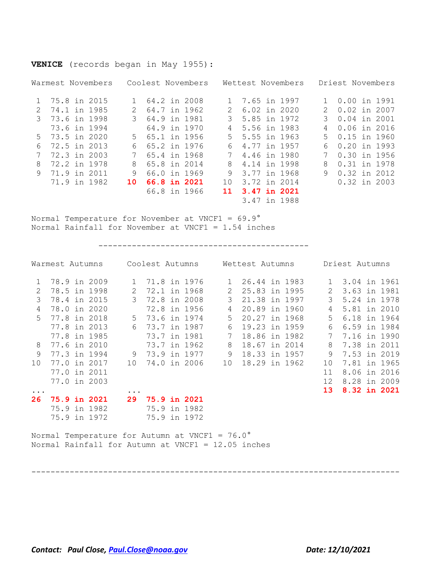### **VENICE** (records began in May 1955):

|               | Warmest Novembers |               | Coolest Novembers |     | Wettest Novembers |               | Driest Novembers |
|---------------|-------------------|---------------|-------------------|-----|-------------------|---------------|------------------|
|               | 1 75.8 in 2015    |               | 1 64.2 in 2008    |     | 1 7.65 in 1997    |               | 0.00 in 1991     |
| $\mathcal{L}$ | 74.1 in 1985      | 2             | 64.7 in 1962      | 2   | 6.02 in 2020      | $\mathcal{L}$ | 0.02 in 2007     |
| 3             | 73.6 in 1998      | $\mathcal{S}$ | 64.9 in 1981      | 3.  | 5.85 in 1972      | 3             | 0.04 in 2001     |
|               | 73.6 in 1994      |               | 64.9 in 1970      |     | 4 5.56 in 1983    | 4             | 0.06 in 2016     |
|               | 5 73.5 in 2020    |               | 5 65.1 in 1956    |     | 5 5.55 in 1963    | .5            | 0.15 in 1960     |
| 6             | 72.5 in 2013      | 6.            | 65.2 in 1976      | 6   | 4.77 in 1957      | 6             | $0.20$ in 1993   |
|               | 72.3 in 2003      |               | 65.4 in 1968      |     | 4,46 in 1980      |               | 0.30 in 1956     |
| 8             | 72.2 in 1978      | 8.            | 65.8 in 2014      | 8   | 4.14 in 1998      | 8             | 0.31 in 1978     |
| 9             | 71.9 in 2011      | 9             | 66.0 in 1969      | 9   | 3.77 in 1968      | 9             | 0.32 in 2012     |
|               | 71.9 in 1982      | 10            | 66.8 in 2021      | 1 O | 3.72 in 2014      |               | 0.32 in 2003     |
|               |                   |               | 66.8 in 1966      | 11. | 3.47 in 2021      |               |                  |
|               |                   |               |                   |     | 3.47 in 1988      |               |                  |

Normal Temperature for November at VNCF1 = 69.9° Normal Rainfall for November at VNCF1 = 1.54 inches

--------------------------------------------

|                 | Warmest Autumns     |              |                     | Coolest Autumns |              | Wettest Autumns |  |                 | Driest Autumns |  |
|-----------------|---------------------|--------------|---------------------|-----------------|--------------|-----------------|--|-----------------|----------------|--|
|                 | 78.9 in 2009        | $\mathbf{1}$ | 71.8 in 1976        |                 | $\mathbf{1}$ | 26.44 in 1983   |  |                 | 1 3.04 in 1961 |  |
| 2               | 78.5 in 1998        | 2            | 72.1 in 1968        |                 | 2            | 25.83 in 1995   |  | 2               | 3.63 in 1981   |  |
| 3               | 78.4 in 2015        | 3            | 72.8 in 2008        |                 | 3            | 21.38 in 1997   |  | 3               | 5.24 in 1978   |  |
| 4               | 78.0 in 2020        |              | 72.8 in 1956        |                 | 4            | 20.89 in 1960   |  | 4               | 5.81 in 2010   |  |
| .5              | 77.8 in 2018        | 5            | 73.6 in 1974        |                 | 5            | 20.27 in 1968   |  | 5               | 6.18 in 1964   |  |
|                 | 77.8 in 2013        | 6            | 73.7 in 1987        |                 | 6            | 19.23 in 1959   |  | 6               | 6.59 in 1984   |  |
|                 | 77.8 in 1985        |              | 73.7 in 1981        |                 | 7            | 18,86 in 1982   |  | 7               | 7.16 in 1990   |  |
| 8               | 77.6 in 2010        |              | 73.7 in 1962        |                 | 8            | 18.67 in 2014   |  | 8               | 7.38 in 2011   |  |
| 9               | 77.3 in 1994        | 9            | 73.9 in 1977        |                 | 9            | 18.33 in 1957   |  | 9               | 7.53 in 2019   |  |
| 10 <sup>°</sup> | 77.0 in 2017        | 10           | 74.0 in 2006        |                 | 10           | 18.29 in 1962   |  | 10              | 7.81 in 1965   |  |
|                 | 77.0 in 2011        |              |                     |                 |              |                 |  | 11              | 8.06 in 2016   |  |
|                 | 77.0 in 2003        |              |                     |                 |              |                 |  | 12 <sup>2</sup> | 8.28 in 2009   |  |
| $\ddotsc$       |                     | $\ddots$     |                     |                 |              |                 |  | 13 <sup>7</sup> | 8.32 in 2021   |  |
| 26              | <b>75.9 in 2021</b> | 29           | <b>75.9 in 2021</b> |                 |              |                 |  |                 |                |  |
|                 | 75.9 in 1982        |              | 75.9 in 1982        |                 |              |                 |  |                 |                |  |
|                 | 75.9 in 1972        |              | 75.9 in 1972        |                 |              |                 |  |                 |                |  |

Normal Temperature for Autumn at VNCF1 =  $76.0^{\circ}$ Normal Rainfall for Autumn at VNCF1 = 12.05 inches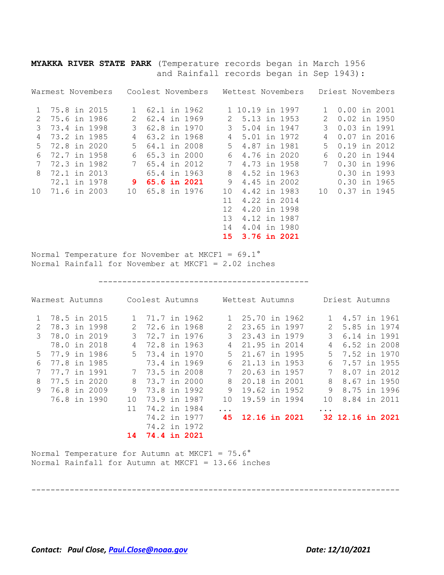**MYAKKA RIVER STATE PARK** (Temperature records began in March 1956 and Rainfall records began in Sep 1943):

|    | Warmest Novembers |    | Coolest Novembers |                   | Wettest Novembers |               | Driest Novembers |
|----|-------------------|----|-------------------|-------------------|-------------------|---------------|------------------|
|    | 75.8 in 2015      |    | 62.1 in 1962      |                   | 1 10.19 in 1997   |               | 0.00 in 2001     |
| 2  | 75.6 in 1986      |    | 62.4 in 1969      | 2.                | 5.13 in 1953      | $\mathcal{L}$ | $0.02$ in 1950   |
| 3  | 73.4 in 1998      | 3  | 62.8 in 1970      | 3                 | 5.04 in 1947      | 3             | 0.03 in 1991     |
| 4  | 73.2 in 1985      | 4  | 63.2 in 1968      | 4                 | 5.01 in 1972      | 4             | $0.07$ in 2016   |
| .5 | 72.8 in 2020      | 5. | 64.1 in 2008      | 5.                | 4.87 in 1981      | 5.            | $0.19$ in 2012   |
| 6  | 72.7 in 1958      | 6  | 65.3 in 2000      | 6                 | 4.76 in 2020      | 6             | 0.20 in 1944     |
| 7  | 72.3 in 1982      |    | 65.4 in 2012      |                   | 4.73 in 1958      |               | 0.30 in 1996     |
| 8  | 72.1 in 2013      |    | 65.4 in 1963      | 8                 | 4.52 in 1963      |               | 0.30 in 1993     |
|    | 72.1 in 1978      | 9  | 65.6 in 2021      | 9                 | 4.45 in 2002      |               | $0.30$ in 1965   |
| 10 | 71.6 in 2003      | 10 | 65.8 in 1976      | 10                | 4.42 in 1983      | 10            | 0.37 in 1945     |
|    |                   |    |                   | 11                | 4.22 in 2014      |               |                  |
|    |                   |    |                   | $12 \overline{ }$ | 4.20 in 1998      |               |                  |
|    |                   |    |                   | 1.3               | 4.12 in 1987      |               |                  |
|    |                   |    |                   | 14                | 4.04 in 1980      |               |                  |
|    |                   |    |                   | 15                | 3.76 in 2021      |               |                  |

Normal Temperature for November at MKCF1 = 69.1° Normal Rainfall for November at MKCF1 = 2.02 inches

--------------------------------------------

| Warmest Autumns |              |       | Coolest Autumns     |              |       | Wettest Autumns      |  |               | Driest Autumns   |  |
|-----------------|--------------|-------|---------------------|--------------|-------|----------------------|--|---------------|------------------|--|
|                 | 78.5 in 2015 | 1     | 71.7 in 1962        |              |       | 25.70 in 1962        |  | 1.            | 4.57 in 1961     |  |
| $\mathcal{L}$   | 78.3 in 1998 | 2     | 72.6 in 1968        |              | 2     | 23.65 in 1997        |  | $\mathcal{L}$ | 5.85 in 1974     |  |
| $\mathcal{E}$   | 78.0 in 2019 | 3     | 72.7 in 1976        |              | 3     | 23.43 in 1979        |  | 3             | 6.14 in 1991     |  |
|                 | 78.0 in 2018 | 4     | 72.8 in 1963        |              | 4     | 21.95 in 2014        |  | 4             | 6.52 in 2008     |  |
| 5               | 77.9 in 1986 | $5 -$ | 73.4 in 1970        |              | $5 -$ | 21.67 in 1995        |  | 5             | 7.52 in 1970     |  |
| 6               | 77.8 in 1985 |       | 73.4 in 1969        |              | 6     | 21.13 in 1953        |  | 6             | 7.57 in 1955     |  |
|                 | 77.7 in 1991 | 7     | 73.5 in 2008        |              |       | 20.63 in 1957        |  |               | 8.07 in 2012     |  |
| 8               | 77.5 in 2020 | 8     | 73.7 in 2000        |              | 8     | 20.18 in 2001        |  | 8             | 8.67 in 1950     |  |
| 9               | 76.8 in 2009 | 9     | 73.8 in 1992        |              | 9     | 19.62 in 1952        |  | 9             | 8.75 in 1996     |  |
|                 | 76.8 in 1990 | 10    | 73.9 in 1987        |              | 10    | 19.59 in 1994        |  | 10            | 8.84 in 2011     |  |
|                 |              | 11    | 74.2 in 1984        |              | .     |                      |  |               |                  |  |
|                 |              |       |                     | 74.2 in 1977 | 45    | <b>12.16 in 2021</b> |  |               | 32 12.16 in 2021 |  |
|                 |              |       |                     | 74.2 in 1972 |       |                      |  |               |                  |  |
|                 |              | 14    | <b>74.4 in 2021</b> |              |       |                      |  |               |                  |  |

-----------------------------------------------------------------------------

Normal Temperature for Autumn at MKCF1 =  $75.6^\circ$ Normal Rainfall for Autumn at MKCF1 = 13.66 inches

*Contact: Paul Close, [Paul.Close@noaa.gov](mailto:Paul.Close@noaa.gov) Date: 12/10/2021*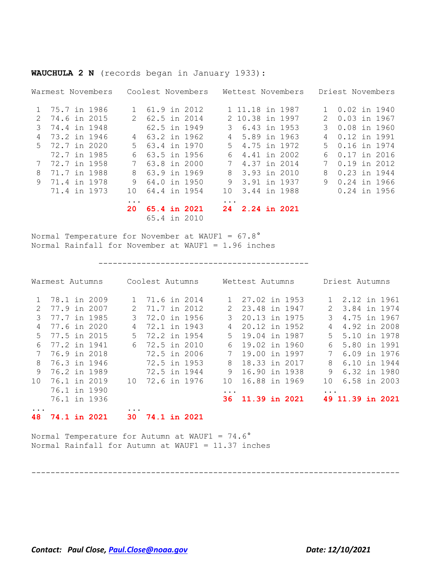**WAUCHULA 2 N** (records began in January 1933):

|               | Warmest Novembers |           | Coolest Novembers |           | Wettest Novembers |               | Driest Novembers |              |
|---------------|-------------------|-----------|-------------------|-----------|-------------------|---------------|------------------|--------------|
| $\mathbf{1}$  | 75.7 in 1986      |           | 61.9 in 2012      |           | 1 11.18 in 1987   | $\mathbf{1}$  | 0.02 in 1940     |              |
| $\mathcal{P}$ | 74.6 in 2015      |           | 62.5 in 2014      |           | 2 10.38 in 1997   | $\mathcal{P}$ | $0.03$ in 1967   |              |
| 3             | 74.4 in 1948      |           | 62.5 in 1949      | 3         | 6.43 in 1953      | 3             | $0.08$ in 1960   |              |
| 4             | 73.2 in 1946      | 4         | 63.2 in 1962      |           | 4 5.89 in 1963    | 4             | 0.12 in 1991     |              |
|               | 5 72.7 in 2020    | .5        | 63.4 in 1970      | 5         | 4.75 in 1972      | .5            | 0.16 in 1974     |              |
|               | 72.7 in 1985      | 6.        | 63.5 in 1956      | 6         | 4.41 in 2002      | 6             | 0.17 in 2016     |              |
|               | 72.7 in 1958      | 7         | 63.8 in 2000      |           | 7 4.37 in 2014    | 7             | 0.19 in 2012     |              |
| 8             | 71.7 in 1988      | 8         | 63.9 in 1969      |           | 8 3.93 in 2010    | 8             | 0.23 in 1944     |              |
| 9             | 71.4 in 1978      | 9         | 64.0 in 1950      | 9         | 3.91 in 1937      | 9             | 0.24 in 1966     |              |
|               | 71.4 in 1973      | 1 O       | 64.4 in 1954      | 10        | 3.44 in 1988      |               |                  | 0.24 in 1956 |
|               |                   | $\ddotsc$ |                   | $\ddotsc$ |                   |               |                  |              |
|               |                   | 20        | 65.4 in 2021      |           | 24 2.24 in 2021   |               |                  |              |
|               |                   |           | 65.4 in 2010      |           |                   |               |                  |              |

Normal Temperature for November at WAUF1 = 67.8° Normal Rainfall for November at WAUF1 = 1.96 inches

--------------------------------------------

|               | Warmest Autumns     |  |    | Coolest Autumns     |  |               | Wettest Autumns |  |               | Driest Autumns   |  |
|---------------|---------------------|--|----|---------------------|--|---------------|-----------------|--|---------------|------------------|--|
|               | 78.1 in 2009        |  |    | 71.6 in 2014        |  |               | 27.02 in 1953   |  |               | 2.12 in 1961     |  |
| $\mathcal{L}$ | 77.9 in 2007        |  | 2  | 71.7 in 2012        |  | $\mathcal{L}$ | 23.48 in 1947   |  | $\mathcal{L}$ | 3.84 in 1974     |  |
| 3             | 77.7 in 1985        |  |    | 72.0 in 1956        |  | 3             | 20.13 in 1975   |  | 3             | 4.75 in 1967     |  |
| 4             | 77.6 in 2020        |  | 4  | 72.1 in 1943        |  | 4             | 20.12 in 1952   |  | 4             | 4.92 in 2008     |  |
| .5            | 77.5 in 2015        |  | 5. | 72.2 in 1954        |  | 5.            | 19.04 in 1987   |  | 5             | 5.10 in 1978     |  |
| 6             | 77.2 in 1941        |  | 6  | 72.5 in 2010        |  | 6             | 19.02 in 1960   |  | 6             | 5.80 in 1991     |  |
|               | 76.9 in 2018        |  |    | 72.5 in 2006        |  | 7             | 19.00 in 1997   |  |               | 6.09 in 1976     |  |
| 8             | 76.3 in 1946        |  |    | 72.5 in 1953        |  | 8             | 18.33 in 2017   |  | 8             | 6.10 in 1944     |  |
| 9             | 76.2 in 1989        |  |    | 72.5 in 1944        |  | 9             | 16.90 in 1938   |  | 9             | 6.32 in 1980     |  |
| 10            | 76.1 in 2019        |  | 10 | 72.6 in 1976        |  | 1 O           | 16.88 in 1969   |  | 10            | 6.58 in 2003     |  |
|               | 76.1 in 1990        |  |    |                     |  | $\ddotsc$     |                 |  | $\ddotsc$     |                  |  |
|               | 76.1 in 1936        |  |    |                     |  | 36.           | 11.39 in 2021   |  |               | 49 11.39 in 2021 |  |
|               |                     |  |    |                     |  |               |                 |  |               |                  |  |
| 48            | <b>74.1 in 2021</b> |  | 30 | <b>74.1 in 2021</b> |  |               |                 |  |               |                  |  |

Normal Temperature for Autumn at WAUF1 =  $74.6^\circ$ Normal Rainfall for Autumn at WAUF1 = 11.37 inches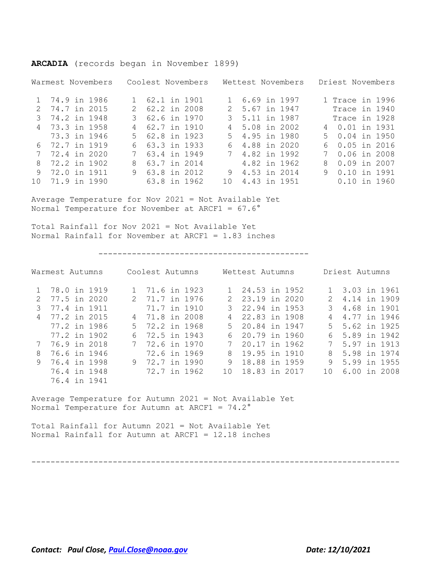Warmest Novembers Coolest Novembers Wettest Novembers Driest Novembers 1 74.9 in 1986 1 62.1 in 1901 1 6.69 in 1997 1 Trace in 1996 2 74.7 in 2015 2 62.2 in 2008 2 5.67 in 1947 Trace in 1940 3 74.2 in 1948 3 62.6 in 1970 3 5.11 in 1987 Trace in 1928 4 73.3 in 1958 4 62.7 in 1910 4 5.08 in 2002 4 0.01 in 1931 73.3 in 1946 5 62.8 in 1923 5 4.95 in 1980 5 0.04 in 1950 6 72.7 in 1919 6 63.3 in 1933 6 4.88 in 2020 6 0.05 in 2016 7 72.4 in 2020 7 63.4 in 1949 7 4.82 in 1992 7 0.06 in 2008 8 72.2 in 1902 8 63.7 in 2014 4.82 in 1962 8 0.09 in 2007 9 72.0 in 1911 9 63.8 in 2012 9 4.53 in 2014 9 0.10 in 1991 10 71.9 in 1990 63.8 in 1962 10 4.43 in 1951 0.10 in 1960

Average Temperature for Nov 2021 = Not Available Yet Normal Temperature for November at ARCF1 = 67.6°

**ARCADIA** (records began in November 1899)

Total Rainfall for Nov 2021 = Not Available Yet Normal Rainfall for November at ARCF1 = 1.83 inches

--------------------------------------------

|               | Warmest Autumns | Coolest Autumns |   | Wettest Autumns  |               | Driest Autumns |
|---------------|-----------------|-----------------|---|------------------|---------------|----------------|
|               | 1 78.0 in 1919  | 1 71.6 in 1923  |   | 1 24.53 in 1952  |               | 1 3.03 in 1961 |
| $\mathcal{P}$ | 77.5 in 2020    | 2 71.7 in 1976  |   | 2 23.19 in 2020  |               | 2 4.14 in 1909 |
| 3             | 77.4 in 1911    | 71.7 in 1910    |   | 3 22.94 in 1953  | $\mathcal{B}$ | 4.68 in 1901   |
|               | 4 77.2 in 2015  | 4 71.8 in 2008  |   | 22.83 in 1908    | 4             | 4.77 in 1946   |
|               | 77.2 in 1986    | 5 72.2 in 1968  |   | 5 20.84 in 1947  |               | 5 5.62 in 1925 |
|               | 77.2 in 1902    | 6 72.5 in 1943  |   | 20.79 in 1960    | 6             | 5.89 in 1942   |
|               | 76.9 in 2018    | 7 72.6 in 1970  |   | 20.17 in 1962    |               | 5.97 in 1913   |
| 8             | 76.6 in 1946    | 72.6 in 1969    | 8 | 19.95 in 1910    | 8             | 5.98 in 1974   |
| 9             | 76.4 in 1998    | 9 72.7 in 1990  | 9 | 18.88 in 1959    | 9             | 5.99 in 1955   |
|               | 76.4 in 1948    | 72.7 in 1962    |   | 10 18.83 in 2017 | 1 O           | 6.00 in 2008   |
|               | 76.4 in 1941    |                 |   |                  |               |                |

Average Temperature for Autumn 2021 = Not Available Yet Normal Temperature for Autumn at ARCF1 =  $74.2^\circ$ 

Total Rainfall for Autumn 2021 = Not Available Yet Normal Rainfall for Autumn at ARCF1 = 12.18 inches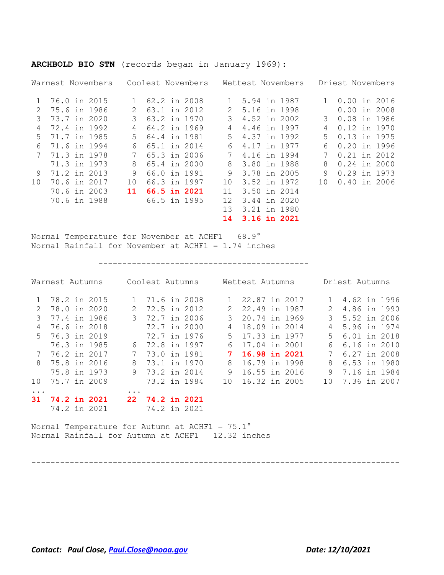|               | Warmest Novembers |    | Coolest Novembers |  |              |                 | Wettest Novembers |  |  |              | Driest Novembers |  |  |  |
|---------------|-------------------|----|-------------------|--|--------------|-----------------|-------------------|--|--|--------------|------------------|--|--|--|
|               | 76.0 in 2015      |    | 62.2 in 2008      |  |              | $\mathbf{1}$    | 5.94 in 1987      |  |  | $\mathbf{1}$ | 0.00 in 2016     |  |  |  |
| $\mathcal{L}$ | 75.6 in 1986      |    |                   |  | 63.1 in 2012 | $\mathcal{L}$   | 5.16 in 1998      |  |  |              | $0.00$ in 2008   |  |  |  |
| 3             | 73.7 in 2020      |    |                   |  | 63.2 in 1970 | 3               | 4.52 in 2002      |  |  | 3            | 0.08 in 1986     |  |  |  |
| 4             | 72.4 in 1992      | 4  |                   |  | 64.2 in 1969 | 4               | 4.46 in 1997      |  |  | 4            | 0.12 in 1970     |  |  |  |
| .5            | 71.7 in 1985      | .5 | 64.4 in 1981      |  |              | 5.              | 4.37 in 1992      |  |  | 5.           | 0.13 in 1975     |  |  |  |
| 6             | 71.6 in 1994      | 6  | 65.1 in 2014      |  |              | 6               | 4.17 in 1977      |  |  | 6            | $0.20$ in 1996   |  |  |  |
|               | 71.3 in 1978      | 7  |                   |  | 65.3 in 2006 | 7               | 4.16 in 1994      |  |  |              | $0.21$ in 2012   |  |  |  |
|               | 71.3 in 1973      | 8  | 65.4 in 2000      |  |              | 8               | 3.80 in 1988      |  |  | 8            | $0.24$ in 2000   |  |  |  |
| 9             | 71.2 in 2013      | 9  | 66.0 in 1991      |  |              | 9               | 3.78 in 2005      |  |  | 9            | 0.29 in 1973     |  |  |  |
| 1 O           | 70.6 in 2017      | 10 | 66.3 in 1997      |  |              | 10              | 3.52 in 1972      |  |  | 1 O          | $0.40$ in 2006   |  |  |  |
|               | 70.6 in 2003      | 11 | 66.5 in 2021      |  |              | 11              | 3.50 in 2014      |  |  |              |                  |  |  |  |
|               | 70.6 in 1988      |    |                   |  | 66.5 in 1995 | 12 <sub>1</sub> | 3.44 in 2020      |  |  |              |                  |  |  |  |
|               |                   |    |                   |  |              | 1.3             | 3.21 in 1980      |  |  |              |                  |  |  |  |
|               |                   |    |                   |  |              | 14              | 3.16 in 2021      |  |  |              |                  |  |  |  |

# **ARCHBOLD BIO STN** (records began in January 1969):

Normal Temperature for November at ACHF1 = 68.9° Normal Rainfall for November at ACHF1 = 1.74 inches

--------------------------------------------

| Warmest Autumns |                |  | Coolest Autumns |               |              |  |  | Wettest Autumns |               |  |  | Driest Autumns |              |  |  |
|-----------------|----------------|--|-----------------|---------------|--------------|--|--|-----------------|---------------|--|--|----------------|--------------|--|--|
|                 | 78.2 in 2015   |  |                 |               | 71.6 in 2008 |  |  |                 | 22.87 in 2017 |  |  |                | 4.62 in 1996 |  |  |
|                 | 78.0 in 2020   |  |                 | $\mathcal{L}$ | 72.5 in 2012 |  |  | $\mathcal{L}$   | 22.49 in 1987 |  |  | 2              | 4.86 in 1990 |  |  |
| 3               | 77.4 in 1986   |  |                 | 3             | 72.7 in 2006 |  |  | 3               | 20.74 in 1969 |  |  | 3              | 5.52 in 2006 |  |  |
| 4               | 76.6 in 2018   |  |                 |               | 72.7 in 2000 |  |  |                 | 18.09 in 2014 |  |  | 4              | 5.96 in 1974 |  |  |
|                 | 5 76.3 in 2019 |  |                 |               | 72.7 in 1976 |  |  | 5.              | 17.33 in 1977 |  |  | 5              | 6.01 in 2018 |  |  |
|                 | 76.3 in 1985   |  |                 | 6             | 72.8 in 1997 |  |  | 6               | 17.04 in 2001 |  |  | 6              | 6.16 in 2010 |  |  |
| 7               | 76.2 in 2017   |  |                 | 7             | 73.0 in 1981 |  |  |                 | 16.98 in 2021 |  |  | 7              | 6.27 in 2008 |  |  |
|                 | 8 75.8 in 2016 |  |                 | 8             | 73.1 in 1970 |  |  | 8               | 16.79 in 1998 |  |  | 8              | 6.53 in 1980 |  |  |
|                 | 75.8 in 1973   |  |                 | 9             | 73.2 in 2014 |  |  | 9               | 16.55 in 2016 |  |  | 9              | 7.16 in 1984 |  |  |
| 1 O             | 75.7 in 2009   |  |                 |               | 73.2 in 1984 |  |  | 1 O             | 16.32 in 2005 |  |  | 1 O            | 7.36 in 2007 |  |  |
| $\ddotsc$       |                |  |                 | $\ddotsc$     |              |  |  |                 |               |  |  |                |              |  |  |
| 31              | 74.2 in 2021   |  |                 | 22.           | 74.2 in 2021 |  |  |                 |               |  |  |                |              |  |  |
|                 | 74.2 in 2021   |  |                 |               | 74.2 in 2021 |  |  |                 |               |  |  |                |              |  |  |

Normal Temperature for Autumn at ACHF1 =  $75.1^\circ$ Normal Rainfall for Autumn at ACHF1 = 12.32 inches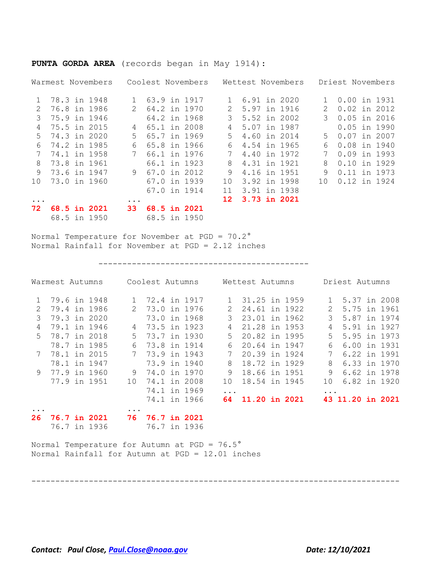|          | Warmest Novembers |               | Coolest Novembers |               | Wettest Novembers |  |               | Driest Novembers |  |
|----------|-------------------|---------------|-------------------|---------------|-------------------|--|---------------|------------------|--|
|          | 78.3 in 1948      |               | 63.9 in 1917      |               | 6.91 in 2020      |  |               | 0.00 in 1931     |  |
| 2        | 76.8 in 1986      | $\mathcal{P}$ | 64.2 in 1970      | $\mathcal{L}$ | 5.97 in 1916      |  | $\mathcal{P}$ | $0.02$ in 2012   |  |
| 3        | 75.9 in 1946      |               | 64.2 in 1968      | 3             | 5.52 in 2002      |  | 3             | $0.05$ in 2016   |  |
| 4        | 75.5 in 2015      | 4             | 65.1 in 2008      | 4             | 5.07 in 1987      |  |               | $0.05$ in 1990   |  |
| .5       | 74.3 in 2020      | .5            | 65.7 in 1969      | .5            | 4.60 in 2014      |  | .5            | $0.07$ in 2007   |  |
| 6        | 74.2 in 1985      | 6             | 65.8 in 1966      | 6             | 4.54 in 1965      |  | 6             | 0.08 in 1940     |  |
|          | 74.1 in 1958      | 7             | 66.1 in 1976      | 7             | 4.40 in 1972      |  | 7             | $0.09$ in 1993   |  |
| 8        | 73.8 in 1961      |               | 66.1 in 1923      | 8             | 4.31 in 1921      |  | 8             | $0.10$ in 1929   |  |
| 9        | 73.6 in 1947      | 9             | 67.0 in 2012      | 9             | 4.16 in 1951      |  | 9             | 0.11 in 1973     |  |
| 10       | 73.0 in 1960      |               | 67.0 in 1939      | 10            | 3.92 in 1998      |  | 10            | 0.12 in 1924     |  |
|          |                   |               | 67.0 in 1914      | 11            | 3.91 in 1938      |  |               |                  |  |
| $\cdots$ |                   | $\cdots$      |                   | $12-12$       | 3.73 in 2021      |  |               |                  |  |
| 72       | 68.5 in 2021      | 33            | 68.5 in 2021      |               |                   |  |               |                  |  |
|          | 68.5 in 1950      |               | 68.5 in 1950      |               |                   |  |               |                  |  |

**PUNTA GORDA AREA** (records began in May 1914):

Normal Temperature for November at PGD = 70.2° Normal Rainfall for November at PGD = 2.12 inches

--------------------------------------------

| Warmest Autumns |  |                     |    | Coolest Autumns        |  |               | Wettest Autumns |  |               | Driest Autumns   |  |
|-----------------|--|---------------------|----|------------------------|--|---------------|-----------------|--|---------------|------------------|--|
|                 |  | 1 79.6 in 1948      | 1  | 72.4 in 1917           |  |               | 31.25 in 1959   |  |               | 1 5.37 in 2008   |  |
| $\mathcal{L}$   |  | 79.4 in 1986        | 2  | 73.0 in 1976           |  | $\mathcal{L}$ | 24.61 in 1922   |  | $\mathcal{L}$ | 5.75 in 1961     |  |
| 3               |  | 79.3 in 2020        |    | 73.0 in 1968           |  | 3             | 23.01 in 1962   |  | $\mathcal{E}$ | 5.87 in 1974     |  |
| 4               |  | 79.1 in 1946        | 4  | 73.5 in 1923           |  | 4             | 21.28 in 1953   |  | 4             | 5.91 in 1927     |  |
| 5.              |  | 78.7 in 2018        | .5 | 73.7 in 1930           |  | 5.            | 20.82 in 1995   |  | $5 -$         | 5.95 in 1973     |  |
|                 |  | 78.7 in 1985        |    | 73.8 in 1914           |  | 6             | 20.64 in 1947   |  | 6             | 6.00 in 1931     |  |
|                 |  | 78.1 in 2015        | 7  | 73.9 in 1943           |  |               | 20.39 in 1924   |  | 7             | 6.22 in 1991     |  |
|                 |  | 78.1 in 1947        |    | 73.9 in 1940           |  | 8             | 18.72 in 1929   |  | 8             | 6.33 in 1970     |  |
|                 |  | 9 77.9 in 1960      | 9  | 74.0 in 1970           |  | 9             | 18.66 in 1951   |  | 9             | 6.62 in 1978     |  |
|                 |  | 77.9 in 1951        | 10 | 74.1 in 2008           |  | 10            | 18.54 in 1945   |  | 10            | 6.82 in 1920     |  |
|                 |  |                     |    | 74.1 in 1969           |  | $\ddotsc$     |                 |  | $\ddotsc$     |                  |  |
|                 |  |                     |    | 74.1 in 1966           |  | 64 -          | 11.20 in 2021   |  |               | 43 11.20 in 2021 |  |
|                 |  |                     |    |                        |  |               |                 |  |               |                  |  |
| 26              |  | <b>76.7 in 2021</b> |    | <b>76 76.7 in 2021</b> |  |               |                 |  |               |                  |  |

-----------------------------------------------------------------------------

76.7 in 1936 76.7 in 1936

Normal Temperature for Autumn at PGD = 76.5° Normal Rainfall for Autumn at PGD = 12.01 inches